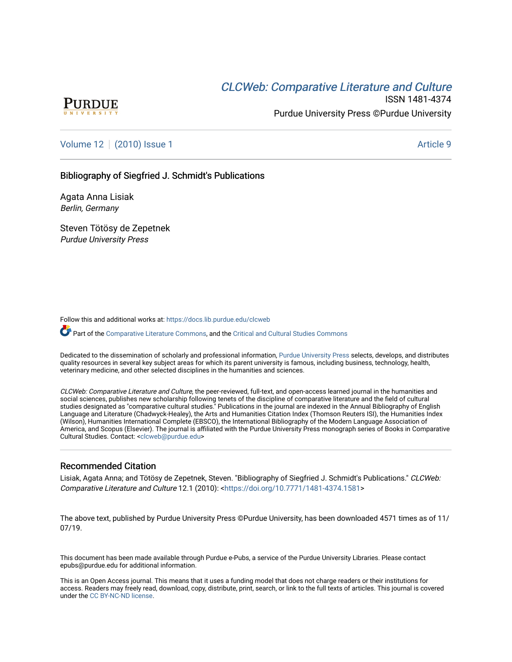# CLCW[eb: Comparative Liter](https://docs.lib.purdue.edu/clcweb)ature and Culture



ISSN 1481-4374 Purdue University Press ©Purdue University

## [Volume 12](https://docs.lib.purdue.edu/clcweb/vol12) | [\(2010\) Issue 1](https://docs.lib.purdue.edu/clcweb/vol12/iss1) Article 9

## Bibliography of Siegfried J. Schmidt's Publications

Agata Anna Lisiak Berlin, Germany

Steven Tötösy de Zepetnek Purdue University Press

Follow this and additional works at: [https://docs.lib.purdue.edu/clcweb](https://docs.lib.purdue.edu/clcweb?utm_source=docs.lib.purdue.edu%2Fclcweb%2Fvol12%2Fiss1%2F9&utm_medium=PDF&utm_campaign=PDFCoverPages)

Part of the [Comparative Literature Commons,](http://network.bepress.com/hgg/discipline/454?utm_source=docs.lib.purdue.edu%2Fclcweb%2Fvol12%2Fiss1%2F9&utm_medium=PDF&utm_campaign=PDFCoverPages) and the Critical and Cultural Studies Commons

Dedicated to the dissemination of scholarly and professional information, [Purdue University Press](http://www.thepress.purdue.edu/) selects, develops, and distributes quality resources in several key subject areas for which its parent university is famous, including business, technology, health, veterinary medicine, and other selected disciplines in the humanities and sciences.

CLCWeb: Comparative Literature and Culture, the peer-reviewed, full-text, and open-access learned journal in the humanities and social sciences, publishes new scholarship following tenets of the discipline of comparative literature and the field of cultural studies designated as "comparative cultural studies." Publications in the journal are indexed in the Annual Bibliography of English Language and Literature (Chadwyck-Healey), the Arts and Humanities Citation Index (Thomson Reuters ISI), the Humanities Index (Wilson), Humanities International Complete (EBSCO), the International Bibliography of the Modern Language Association of America, and Scopus (Elsevier). The journal is affiliated with the Purdue University Press monograph series of Books in Comparative Cultural Studies. Contact: [<clcweb@purdue.edu](mailto:clcweb@purdue.edu)>

## Recommended Citation

Lisiak, Agata Anna; and Tötösy de Zepetnek, Steven. "Bibliography of Siegfried J. Schmidt's Publications." CLCWeb: Comparative Literature and Culture 12.1 (2010): <<https://doi.org/10.7771/1481-4374.1581>>

The above text, published by Purdue University Press ©Purdue University, has been downloaded 4571 times as of 11/ 07/19.

This document has been made available through Purdue e-Pubs, a service of the Purdue University Libraries. Please contact epubs@purdue.edu for additional information.

This is an Open Access journal. This means that it uses a funding model that does not charge readers or their institutions for access. Readers may freely read, download, copy, distribute, print, search, or link to the full texts of articles. This journal is covered under the [CC BY-NC-ND license.](https://creativecommons.org/licenses/by-nc-nd/4.0/)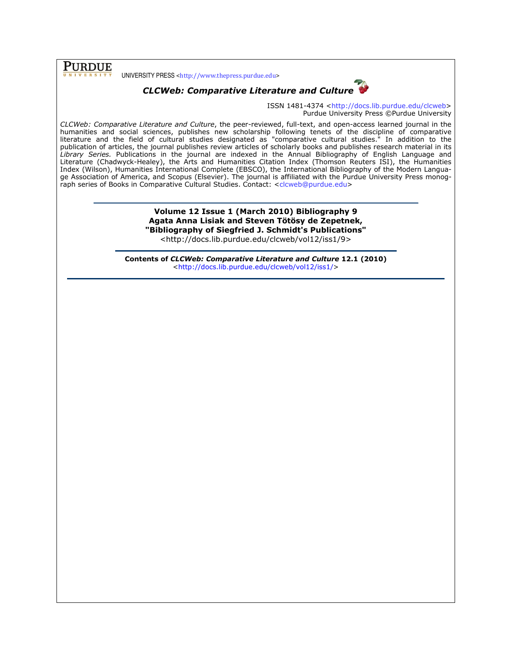**PURDUE** 

UNIVERSITY PRESS <http://www.thepress.purdue.edu>



ISSN 1481-4374 <http://docs.lib.purdue.edu/clcweb> Purdue University Press ©Purdue University

CLCWeb: Comparative Literature and Culture, the peer-reviewed, full-text, and open-access learned journal in the humanities and social sciences, publishes new scholarship following tenets of the discipline of comparative literature and the field of cultural studies designated as "comparative cultural studies." In addition to the publication of articles, the journal publishes review articles of scholarly books and publishes research material in its Library Series. Publications in the journal are indexed in the Annual Bibliography of English Language and Literature (Chadwyck-Healey), the Arts and Humanities Citation Index (Thomson Reuters ISI), the Humanities Index (Wilson), Humanities International Complete (EBSCO), the International Bibliography of the Modern Language Association of America, and Scopus (Elsevier). The journal is affiliated with the Purdue University Press monograph series of Books in Comparative Cultural Studies. Contact: <clcweb@purdue.edu>

> Volume 12 Issue 1 (March 2010) Bibliography 9 Agata Anna Lisiak and Steven Tötösy de Zepetnek, "Bibliography of Siegfried J. Schmidt's Publications" <http://docs.lib.purdue.edu/clcweb/vol12/iss1/9>

Contents of CLCWeb: Comparative Literature and Culture 12.1 (2010) <http://docs.lib.purdue.edu/clcweb/vol12/iss1/>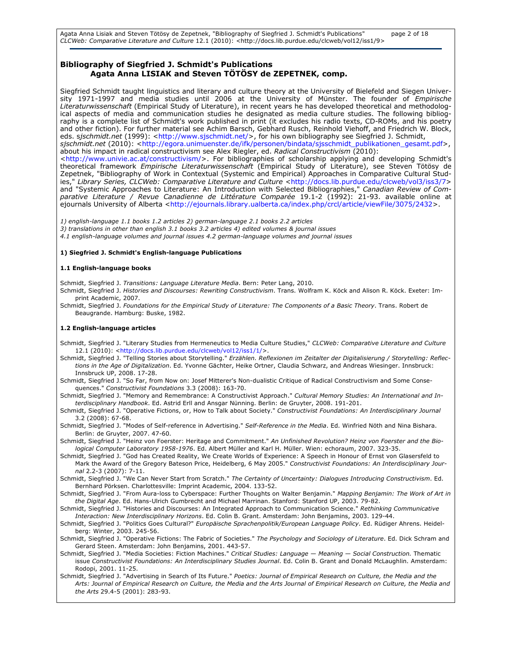Agata Anna Lisiak and Steven Tötösy de Zepetnek, "Bibliography of Siegfried J. Schmidt's Publications" page 2 of 18 CLCWeb: Comparative Literature and Culture 12.1 (2010): <http://docs.lib.purdue.edu/clcweb/vol12/iss1/9>

### Bibliography of Siegfried J. Schmidt's Publications Agata Anna LISIAK and Steven TÖTÖSY de ZEPETNEK, comp.

Siegfried Schmidt taught linguistics and literary and culture theory at the University of Bielefeld and Siegen University 1971-1997 and media studies until 2006 at the University of Münster. The founder of Empirische Literaturwissenschaft (Empirical Study of Literature), in recent years he has developed theoretical and methodological aspects of media and communication studies he designated as media culture studies. The following bibliography is a complete list of Schmidt's work published in print (it excludes his radio texts, CD-ROMs, and his poetry and other fiction). For further material see Achim Barsch, Gebhard Rusch, Reinhold Viehoff, and Friedrich W. Block, eds. s*jschmidt.net* (1999): <http://www.sjschmidt.net/>, for his own bibliography see Siegfried J. Schmidt, sjschmidt.net (2010): <http://egora.unimuenster.de/ifk/personen/bindata/sjsschmidt\_publikationen\_gesamt.pdf>, about his impact in radical constructivism see Alex Riegler, ed. Radical Constructivism (2010): <http://www.univie.ac.at/constructivism/>. For bibliographies of scholarship applying and developing Schmidt's

theoretical framework *Empirische Literaturwissenschaft* (Empirical Study of Literature), see Steven Tötösy de Zepetnek, "Bibliography of Work in Contextual (Systemic and Empirical) Approaches in Comparative Cultural Studies," Library Series, CLCWeb: Comparative Literature and Culture <http://docs.lib.purdue.edu/clcweb/vol3/iss3/7> and "Systemic Approaches to Literature: An Introduction with Selected Bibliographies," Canadian Review of Comparative Literature / Revue Canadienne de Littérature Comparée 19.1-2 (1992): 21-93. available online at ejournals University of Alberta <http://ejournals.library.ualberta.ca/index.php/crcl/article/viewFile/3075/2432>.

1) english-language 1.1 books 1.2 articles 2) german-language 2.1 books 2.2 articles

- 3) translations in other than english 3.1 books 3.2 articles 4) edited volumes & journal issues
- 4.1 english-language volumes and journal issues 4.2 german-language volumes and journal issues

#### 1) Siegfried J. Schmidt's English-language Publications

#### 1.1 English-language books

Schmidt, Siegfried J. Transitions: Language Literature Media. Bern: Peter Lang, 2010.

- Schmidt, Siegfried J. Histories and Discourses: Rewriting Constructivism. Trans. Wolfram K. Köck and Alison R. Köck. Exeter: Imprint Academic, 2007.
- Schmidt, Siegfried J. Foundations for the Empirical Study of Literature: The Components of a Basic Theory. Trans. Robert de Beaugrande. Hamburg: Buske, 1982.

#### 1.2 English-language articles

- Schmidt, Siegfried J. "Literary Studies from Hermeneutics to Media Culture Studies," CLCWeb: Comparative Literature and Culture 12.1 (2010): <http://docs.lib.purdue.edu/clcweb/vol12/iss1/1/>.
- Schmidt, Siegfried J. "Telling Stories about Storytelling." Erzählen. Reflexionen im Zeitalter der Digitalisierung / Storytelling: Reflections in the Age of Digitalization. Ed. Yvonne Gächter, Heike Ortner, Claudia Schwarz, and Andreas Wiesinger. Innsbruck: Innsbruck UP, 2008. 17-28.
- Schmidt, Siegfried J. "So Far, from Now on: Josef Mitterer's Non-dualistic Critique of Radical Constructivism and Some Consequences." Constructivist Foundations 3.3 (2008): 163-70.
- Schmidt, Siegfried J. "Memory and Remembrance: A Constructivist Approach." Cultural Memory Studies: An International and Interdisciplinary Handbook. Ed. Astrid Erll and Ansgar Nünning. Berlin: de Gruyter, 2008. 191-201.
- Schmidt, Siegfried J. "Operative Fictions, or, How to Talk about Society." Constructivist Foundations: An Interdisciplinary Journal 3.2 (2008): 67-68.
- Schmidt, Siegfried J. "Modes of Self-reference in Advertising." Self-Reference in the Media. Ed. Winfried Nöth and Nina Bishara. Berlin: de Gruyter, 2007. 47-60.
- Schmidt, Siegfried J. "Heinz von Foerster: Heritage and Commitment." An Unfinished Revolution? Heinz von Foerster and the Biological Computer Laboratory 1958-1976. Ed. Albert Müller and Karl H. Müller. Wien: echoraum, 2007. 323-35.
- Schmidt, Siegfried J. "God has Created Reality, We Create Worlds of Experience: A Speech in Honour of Ernst von Glasersfeld to Mark the Award of the Gregory Bateson Price, Heidelberg, 6 May 2005." Constructivist Foundations: An Interdisciplinary Journal 2.2-3 (2007): 7-11.
- Schmidt, Siegfried J. "We Can Never Start from Scratch." The Certainty of Uncertainty: Dialogues Introducing Constructivism. Ed. Bernhard Pörksen. Charlottesville: Imprint Academic, 2004. 133-52.
- Schmidt, Siegfried J. "From Aura-loss to Cyberspace: Further Thoughts on Walter Benjamin." Mapping Benjamin: The Work of Art in the Digital Age. Ed. Hans-Ulrich Gumbrecht and Michael Marrinan. Stanford: Stanford UP, 2003. 79-82.
- Schmidt, Siegfried J. "Histories and Discourses: An Integrated Approach to Communication Science." Rethinking Communicative Interaction: New Interdisciplinary Horizons. Ed. Colin B. Grant. Amsterdam: John Benjamins, 2003. 129-44.
- Schmidt, Siegfried J. "Politics Goes Cultural?" Europäische Sprachenpolitik/European Language Policy. Ed. Rüdiger Ahrens. Heidelberg: Winter, 2003. 245-56.
- Schmidt, Siegfried J. "Operative Fictions: The Fabric of Societies." The Psychology and Sociology of Literature. Ed. Dick Schram and Gerard Steen. Amsterdam: John Benjamins, 2001. 443-57.
- Schmidt, Siegfried J. "Media Societies: Fiction Machines." Critical Studies: Language Meaning Social Construction. Thematic issue Constructivist Foundations: An Interdisciplinary Studies Journal. Ed. Colin B. Grant and Donald McLaughlin. Amsterdam: Rodopi, 2001. 11-25.
- Schmidt, Siegfried J. "Advertising in Search of Its Future." Poetics: Journal of Empirical Research on Culture, the Media and the Arts: Journal of Empirical Research on Culture, the Media and the Arts Journal of Empirical Research on Culture, the Media and the Arts 29.4-5 (2001): 283-93.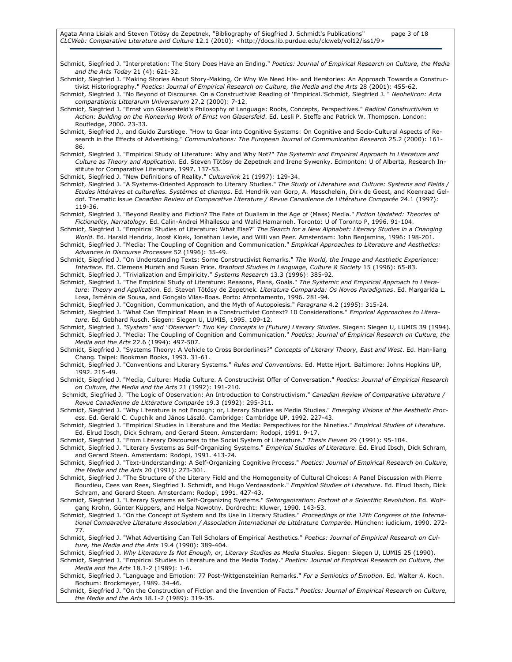Schmidt, Siegfried J. "Interpretation: The Story Does Have an Ending." Poetics: Journal of Empirical Research on Culture, the Media and the Arts Today 21 (4): 621-32.

Schmidt, Siegfried J. "Making Stories About Story-Making, Or Why We Need His- and Herstories: An Approach Towards a Constructivist Historiography." Poetics: Journal of Empirical Research on Culture, the Media and the Arts 28 (2001): 455-62.

Schmidt, Siegfried J. "No Beyond of Discourse. On a Constructivist Reading of 'Empirical.'Schmidt, Siegfried J. " Neohelicon: Acta comparationis Litterarum Universarum 27.2 (2000): 7-12.

Schmidt, Siegfried J. "Ernst von Glasersfeld's Philosophy of Language: Roots, Concepts, Perspectives." Radical Constructivism in Action: Building on the Pioneering Work of Ernst von Glasersfeld. Ed. Lesli P. Steffe and Patrick W. Thompson. London: Routledge, 2000. 23-33.

Schmidt, Siegfried J., and Guido Zurstiege. "How to Gear into Cognitive Systems: On Cognitive and Socio-Cultural Aspects of Research in the Effects of Advertising." Communications: The European Journal of Communication Research 25.2 (2000): 161- 86.

Schmidt, Siegfried J. "Empirical Study of Literature: Why and Why Not?" The Systemic and Empirical Approach to Literature and Culture as Theory and Application. Ed. Steven Tötösy de Zepetnek and Irene Sywenky. Edmonton: U of Alberta, Research Institute for Comparative Literature, 1997. 137-53.

Schmidt, Siegfried J. "New Definitions of Reality." Culturelink 21 (1997): 129-34.

Schmidt, Siegfried J. "A Systems-Oriented Approach to Literary Studies." The Study of Literature and Culture: Systems and Fields / Etudes littéraires et culturelles. Systèmes et champs. Ed. Hendrik van Gorp, A. Masschelein, Dirk de Geest, and Koenraad Geldof. Thematic issue Canadian Review of Comparative Literature / Revue Canadienne de Littérature Comparée 24.1 (1997): 119-36.

Schmidt, Siegfried J. "Beyond Reality and Fiction? The Fate of Dualism in the Age of (Mass) Media." Fiction Updated: Theories of Fictionality, Narratology. Ed. Calin-Andrei Mihailescu and Walid Hamarneh. Toronto: U of Toronto P, 1996. 91-104.

Schmidt, Siegfried J. "Empirical Studies of Literature: What Else?" The Search for a New Alphabet: Literary Studies in a Changing World. Ed. Harald Hendrix, Joost Kloek, Jonathan Levie, and Willi van Peer. Amsterdam: John Benjamins, 1996: 198-201.

Schmidt, Siegfried J. "Media: The Coupling of Cognition and Communication." Empirical Approaches to Literature and Aesthetics: Advances in Discourse Processes 52 (1996): 35-49.

Schmidt, Siegfried J. "On Understanding Texts: Some Constructivist Remarks." The World, the Image and Aesthetic Experience: Interface. Ed. Clemens Murath and Susan Price. Bradford Studies in Language, Culture & Society 15 (1996): 65-83.

Schmidt, Siegfried J. "Trivialization and Empiricity." Systems Research 13.3 (1996): 385-92. Schmidt, Siegfried J. "The Empirical Study of Literature: Reasons, Plans, Goals." The Systemic and Empirical Approach to Literature: Theory and Application. Ed. Steven Tötösy de Zepetnek. Literatura Comparada: Os Novos Paradigmas. Ed. Margarida L. Losa, Isménia de Sousa, and Gonçalo Vilas-Boas. Porto: Afrontamento, 1996. 281-94.

Schmidt, Siegfried J. "Cognition, Communication, and the Myth of Autopoiesis." Paragrana 4.2 (1995): 315-24.

Schmidt, Siegfried J. "What Can 'Empirical' Mean in a Constructivist Context? 10 Considerations." Emprical Approaches to Literature. Ed. Gebhard Rusch. Siegen: Siegen U, LUMIS, 1995. 109-12.

Schmidt, Siegfried J. "System" and "Observer": Two Key Concepts in (Future) Literary Studies. Siegen: Siegen U, LUMIS 39 (1994). Schmidt, Siegfried J. "Media: The Coupling of Cognition and Communication." Poetics: Journal of Empirical Research on Culture, the Media and the Arts 22.6 (1994): 497-507.

Schmidt, Siegfried J. "Systems Theory: A Vehicle to Cross Borderlines?" Concepts of Literary Theory, East and West. Ed. Han-liang Chang. Taipei: Bookman Books, 1993. 31-61.

Schmidt, Siegfried J. "Conventions and Literary Systems." Rules and Conventions. Ed. Mette Hjort. Baltimore: Johns Hopkins UP, 1992. 215-49.

Schmidt, Siegfried J. "Media, Culture: Media Culture. A Constructivist Offer of Conversation." Poetics: Journal of Empirical Research on Culture, the Media and the Arts 21 (1992): 191-210.

Schmidt, Siegfried J. "The Logic of Observation: An Introduction to Constructivism." Canadian Review of Comparative Literature / Revue Canadienne de Littérature Comparée 19.3 (1992): 295-311.

Schmidt, Siegfried J. "Why Literature is not Enough; or, Literary Studies as Media Studies." Emerging Visions of the Aesthetic Process. Ed. Gerald C. Cupchik and János László. Cambridge: Cambridge UP, 1992. 227-43.

Schmidt, Siegfried J. "Empirical Studies in Literature and the Media: Perspectives for the Nineties." Empirical Studies of Literature. Ed. Elrud Ibsch, Dick Schram, and Gerard Steen. Amsterdam: Rodopi, 1991. 9-17.

Schmidt, Siegfried J. "From Literary Discourses to the Social System of Literature." Thesis Eleven 29 (1991): 95-104.

Schmidt, Siegfried J. "Literary Systems as Self-Organizing Systems." Empirical Studies of Literature. Ed. Elrud Ibsch, Dick Schram, and Gerard Steen. Amsterdam: Rodopi, 1991. 413-24.

Schmidt, Siegfried J. "Text-Understanding: A Self-Organizing Cognitive Process." Poetics: Journal of Empirical Research on Culture, the Media and the Arts 20 (1991): 273-301.

Schmidt, Siegfried J. "The Structure of the Literary Field and the Homogeneity of Cultural Choices: A Panel Discussion with Pierre Bourdieu, Cees van Rees, Siegfried J. Schmidt, and Hugo Verdaasdonk." Empirical Studies of Literature. Ed. Elrud Ibsch, Dick Schram, and Gerard Steen. Amsterdam: Rodopi, 1991. 427-43.

Schmidt, Siegfried J. "Literary Systems as Self-Organizing Systems." Selforganization: Portrait of a Scientific Revolution. Ed. Wolfgang Krohn, Günter Küppers, and Helga Nowotny. Dordrecht: Kluwer, 1990. 143-53.

Schmidt, Siegfried J. "On the Concept of System and Its Use in Literary Studies." Proceedings of the 12th Congress of the International Comparative Literature Association / Association International de Littérature Comparée. München: iudicium, 1990. 272- 77.

Schmidt, Siegfried J. "What Advertising Can Tell Scholars of Empirical Aesthetics." Poetics: Journal of Empirical Research on Culture, the Media and the Arts 19.4 (1990): 389-404.

Schmidt, Siegfried J. Why Literature Is Not Enough, or, Literary Studies as Media Studies. Siegen: Siegen U, LUMIS 25 (1990).

Schmidt, Siegfried J. "Empirical Studies in Literature and the Media Today." Poetics: Journal of Empirical Research on Culture, the Media and the Arts 18.1-2 (1989): 1-6.

Schmidt, Siegfried J. "Language and Emotion: 77 Post-Wittgensteinian Remarks." For a Semiotics of Emotion. Ed. Walter A. Koch. Bochum: Brockmeyer, 1989. 34-46.

Schmidt, Siegfried J. "On the Construction of Fiction and the Invention of Facts." Poetics: Journal of Empirical Research on Culture, the Media and the Arts 18.1-2 (1989): 319-35.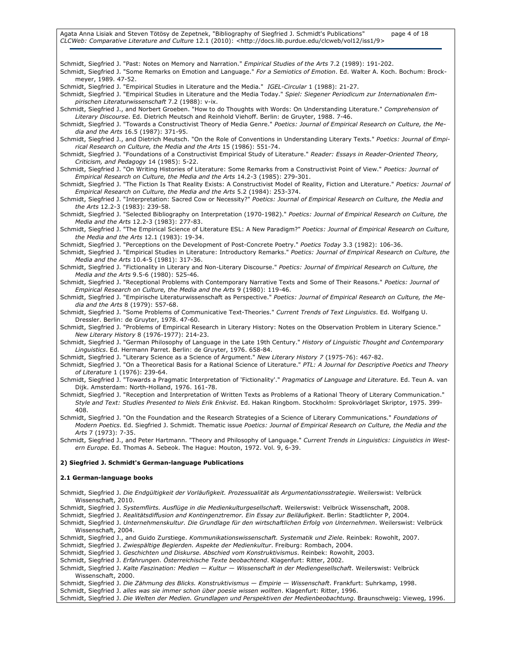#### Agata Anna Lisiak and Steven Tötösy de Zepetnek, "Bibliography of Siegfried J. Schmidt's Publications" page 4 of 18 CLCWeb: Comparative Literature and Culture 12.1 (2010): <http://docs.lib.purdue.edu/clcweb/vol12/iss1/9>

Schmidt, Siegfried J. "Past: Notes on Memory and Narration." Empirical Studies of the Arts 7.2 (1989): 191-202.

- Schmidt, Siegfried J. "Some Remarks on Emotion and Language." For a Semiotics of Emotion. Ed. Walter A. Koch. Bochum: Brockmeyer, 1989. 47-52.
- Schmidt, Siegfried J. "Empirical Studies in Literature and the Media." IGEL-Circular 1 (1988): 21-27.

Schmidt, Siegfried J. "Empirical Studies in Literature and the Media Today." Spiel: Siegener Periodicum zur Internationalen Empirischen Literaturwissenschaft 7.2 (1988): v-ix.

Schmidt, Siegfried J., and Norbert Groeben. "How to do Thoughts with Words: On Understanding Literature." Comprehension of Literary Discourse. Ed. Dietrich Meutsch and Reinhold Viehoff. Berlin: de Gruyter, 1988. 7-46.

Schmidt, Siegfried J. "Towards a Constructivist Theory of Media Genre." Poetics: Journal of Empirical Research on Culture, the Media and the Arts 16.5 (1987): 371-95.

Schmidt, Siegfried J., and Dietrich Meutsch. "On the Role of Conventions in Understanding Literary Texts." Poetics: Journal of Empirical Research on Culture, the Media and the Arts 15 (1986): 551-74.

Schmidt, Siegfried J. "Foundations of a Constructivist Empirical Study of Literature." Reader: Essays in Reader-Oriented Theory, Criticism, and Pedagogy 14 (1985): 5-22.

Schmidt, Siegfried J. "On Writing Histories of Literature: Some Remarks from a Constructivist Point of View." Poetics: Journal of Empirical Research on Culture, the Media and the Arts 14.2-3 (1985): 279-301.

Schmidt, Siegfried J. "The Fiction Is That Reality Exists: A Constructivist Model of Reality, Fiction and Literature." Poetics: Journal of Empirical Research on Culture, the Media and the Arts 5.2 (1984): 253-374.

Schmidt, Siegfried J. "Interpretation: Sacred Cow or Necessity?" Poetics: Journal of Empirical Research on Culture, the Media and the Arts 12.2-3 (1983): 239-58.

Schmidt, Siegfried J. "Selected Bibliography on Interpretation (1970-1982)." Poetics: Journal of Empirical Research on Culture, the Media and the Arts 12.2-3 (1983): 277-83.

Schmidt, Siegfried J. "The Empirical Science of Literature ESL: A New Paradigm?" Poetics: Journal of Empirical Research on Culture, the Media and the Arts 12.1 (1983): 19-34.

Schmidt, Siegfried J. "Perceptions on the Development of Post-Concrete Poetry." Poetics Today 3.3 (1982): 106-36.

Schmidt, Siegfried J. "Empirical Studies in Literature: Introductory Remarks." Poetics: Journal of Empirical Research on Culture, the Media and the Arts 10.4-5 (1981): 317-36.

Schmidt, Siegfried J. "Fictionality in Literary and Non-Literary Discourse." Poetics: Journal of Empirical Research on Culture, the Media and the Arts 9.5-6 (1980): 525-46.

Schmidt, Siegfried J. "Receptional Problems with Contemporary Narrative Texts and Some of Their Reasons." Poetics: Journal of Empirical Research on Culture, the Media and the Arts 9 (1980): 119-46.

Schmidt, Siegfried J. "Empirische Literaturwissenschaft as Perspective." Poetics: Journal of Empirical Research on Culture, the Media and the Arts 8 (1979): 557-68.

Schmidt, Siegfried J. "Some Problems of Communicative Text-Theories." Current Trends of Text Linguistics. Ed. Wolfgang U. Dressler. Berlin: de Gruyter, 1978. 47-60.

Schmidt, Siegfried J. "Problems of Empirical Research in Literary History: Notes on the Observation Problem in Literary Science." New Literary History 8 (1976-1977): 214-23.

Schmidt, Siegfried J. "German Philosophy of Language in the Late 19th Century." History of Linguistic Thought and Contemporary Linguistics. Ed. Hermann Parret. Berlin: de Gruyter, 1976. 658-84.

Schmidt, Siegfried J. "Literary Science as a Science of Argument." New Literary History 7 (1975-76): 467-82.

Schmidt, Siegfried J. "On a Theoretical Basis for a Rational Science of Literature." PTL: A Journal for Descriptive Poetics and Theory of Literature 1 (1976): 239-64.

Schmidt, Siegfried J. "Towards a Pragmatic Interpretation of 'Fictionality'." Pragmatics of Language and Literature. Ed. Teun A. van Dijk. Amsterdam: North-Holland, 1976. 161-78.

Schmidt, Siegfried J. "Reception and Interpretation of Written Texts as Problems of a Rational Theory of Literary Communication." Style and Text: Studies Presented to Niels Erik Enkvist. Ed. Hakan Ringbom. Stockholm: Sprokvörlaget Skriptor, 1975. 399- 408.

Schmidt, Siegfried J. "On the Foundation and the Research Strategies of a Science of Literary Communications." Foundations of Modern Poetics. Ed. Siegfried J. Schmidt. Thematic issue Poetics: Journal of Empirical Research on Culture, the Media and the Arts 7 (1973): 7-35.

Schmidt, Siegfried J., and Peter Hartmann. "Theory and Philosophy of Language." Current Trends in Linguistics: Linguistics in Western Europe. Ed. Thomas A. Sebeok. The Hague: Mouton, 1972. Vol. 9, 6-39.

#### 2) Siegfried J. Schmidt's German-language Publications

#### 2.1 German-language books

Schmidt, Siegfried J. Die Endgültigkeit der Vorläufigkeit. Prozessualität als Argumentationsstrategie. Weilerswist: Velbrück Wissenschaft, 2010.

Schmidt, Siegfried J. Systemflirts. Ausflüge in die Medienkulturgesellschaft. Weilerswist: Velbrück Wissenschaft, 2008.

Schmidt, Siegfried J. Realitätsdiffusion and Kontingenztremor. Ein Essay zur Beiläufigkeit. Berlin: Stadtlichter P, 2004.

Schmidt, Siegfried J. Unternehmenskultur. Die Grundlage für den wirtschaftlichen Erfolg von Unternehmen. Weilerswist: Velbrück Wissenschaft, 2004.

Schmidt, Siegfried J., and Guido Zurstiege. Kommunikationswissenschaft. Systematik und Ziele. Reinbek: Rowohlt, 2007.

Schmidt, Siegfried J. Zwiespältige Begierden. Aspekte der Medienkultur. Freiburg: Rombach, 2004.

Schmidt, Siegfried J. Geschichten und Diskurse. Abschied vom Konstruktivismus. Reinbek: Rowohlt, 2003.

Schmidt, Siegfried J. Erfahrungen. Österreichische Texte beobachtend. Klagenfurt: Ritter, 2002.

Schmidt, Siegfried J. Kalte Faszination: Medien - Kultur - Wissenschaft in der Mediengesellschaft. Weilerswist: Velbrück Wissenschaft, 2000.

Schmidt, Siegfried J. Die Zähmung des Blicks. Konstruktivismus — Empirie — Wissenschaft. Frankfurt: Suhrkamp, 1998.

Schmidt, Siegfried J. alles was sie immer schon über poesie wissen wollten. Klagenfurt: Ritter, 1996.

Schmidt, Siegfried J. Die Welten der Medien. Grundlagen und Perspektiven der Medienbeobachtung. Braunschweig: Vieweg, 1996.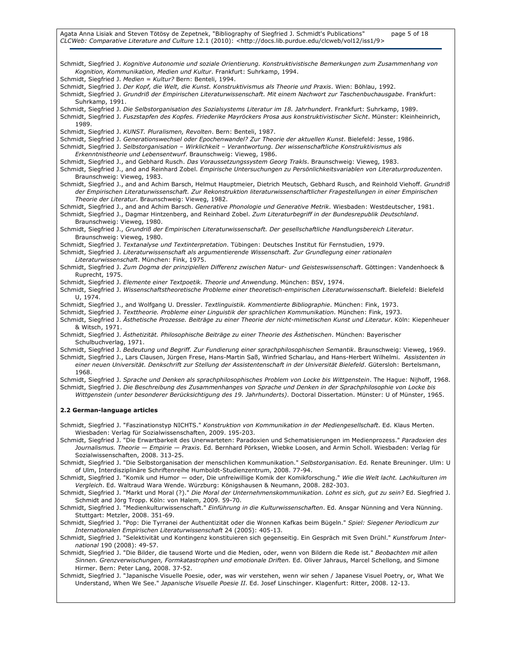Agata Anna Lisiak and Steven Tötösy de Zepetnek, "Bibliography of Siegfried J. Schmidt's Publications" page 5 of 18 CLCWeb: Comparative Literature and Culture 12.1 (2010): <http://docs.lib.purdue.edu/clcweb/vol12/iss1/9>

Schmidt, Siegfried J. Kognitive Autonomie und soziale Orientierung. Konstruktivistische Bemerkungen zum Zusammenhang von Kognition, Kommunikation, Medien und Kultur. Frankfurt: Suhrkamp, 1994. Schmidt, Siegfried J. Medien = Kultur? Bern: Benteli, 1994. Schmidt, Siegfried J. Der Kopf, die Welt, die Kunst. Konstruktivismus als Theorie und Praxis. Wien: Böhlau, 1992. Schmidt, Siegfried J. Grundriß der Empirischen Literaturwissenschaft. Mit einem Nachwort zur Taschenbuchausgabe. Frankfurt: Suhrkamp, 1991. Schmidt, Siegfried J. Die Selbstorganisation des Sozialsystems Literatur im 18. Jahrhundert. Frankfurt: Suhrkamp, 1989. Schmidt, Siegfried J. Fuszstapfen des Kopfes. Friederike Mayröckers Prosa aus konstruktivistischer Sicht. Münster: Kleinheinrich, 1989. Schmidt, Siegfried J. KUNST. Pluralismen, Revolten. Bern: Benteli, 1987. Schmidt, Siegfried J. Generationswechsel oder Epochenwandel? Zur Theorie der aktuellen Kunst. Bielefeld: Jesse, 1986. Schmidt, Siegfried J. Selbstorganisation – Wirklichkeit – Verantwortung. Der wissenschaftliche Konstruktivismus als Erkenntnistheorie und Lebensentwurf. Braunschweig: Vieweg, 1986. Schmidt, Siegfried J., and Gebhard Rusch. Das Voraussetzungssystem Georg Trakls. Braunschweig: Vieweg, 1983. Schmidt, Siegfried J., and and Reinhard Zobel. Empirische Untersuchungen zu Persönlichkeitsvariablen von Literaturproduzenten. Braunschweig: Vieweg, 1983. Schmidt, Siegfried J., and and Achim Barsch, Helmut Hauptmeier, Dietrich Meutsch, Gebhard Rusch, and Reinhold Viehoff. Grundriß der Empirischen Literaturwissenschaft. Zur Rekonstruktion literaturwissenschaftlicher Fragestellungen in einer Empirischen Theorie der Literatur. Braunschweig: Vieweg, 1982. Schmidt, Siegfried J., and and Achim Barsch. Generative Phonologie und Generative Metrik. Wiesbaden: Westdeutscher, 1981. Schmidt, Siegfried J., Dagmar Hintzenberg, and Reinhard Zobel. Zum Literaturbegriff in der Bundesrepublik Deutschland. Braunschweig: Vieweg, 1980. Schmidt, Siegfried J., Grundriß der Empirischen Literaturwissenschaft. Der gesellschaftliche Handlungsbereich Literatur. Braunschweig: Vieweg, 1980. Schmidt, Siegfried J. Textanalyse und Textinterpretation. Tübingen: Deutsches Institut für Fernstudien, 1979. Schmidt, Siegfried J. Literaturwissenschaft als argumentierende Wissenschaft. Zur Grundlegung einer rationalen Literaturwissenschaft. München: Fink, 1975. Schmidt, Siegfried J. Zum Dogma der prinzipiellen Differenz zwischen Natur- und Geisteswissenschaft. Göttingen: Vandenhoeck & Ruprecht, 1975. Schmidt, Siegfried J. Elemente einer Textpoetik. Theorie und Anwendung. München: BSV, 1974. Schmidt, Siegfried J. Wissenschaftstheoretische Probleme einer theoretisch-empirischen Literaturwissenschaft. Bielefeld: Bielefeld U, 1974. Schmidt, Siegfried J., and Wolfgang U. Dressler. Textlinguistik. Kommentierte Bibliographie. München: Fink, 1973. Schmidt, Siegfried J. Texttheorie. Probleme einer Linguistik der sprachlichen Kommunikation. München: Fink, 1973. Schmidt, Siegfried J. Ästhetische Prozesse. Beiträge zu einer Theorie der nicht-mimetischen Kunst und Literatur. Köln: Kiepenheuer & Witsch, 1971. Schmidt, Siegfried J. Ästhetizität. Philosophische Beiträge zu einer Theorie des Ästhetischen. München: Bayerischer Schulbuchverlag, 1971. Schmidt, Siegfried J. Bedeutung und Begriff. Zur Fundierung einer sprachphilosophischen Semantik. Braunschweig: Vieweg, 1969. Schmidt, Siegfried J., Lars Clausen, Jürgen Frese, Hans-Martin Saß, Winfried Scharlau, and Hans-Herbert Wilhelmi. Assistenten in einer neuen Universität. Denkschrift zur Stellung der Assistentenschaft in der Universität Bielefeld. Gütersloh: Bertelsmann, 1968. Schmidt, Siegfried J. Sprache und Denken als sprachphilosophisches Problem von Locke bis Wittgenstein. The Hague: Nijhoff, 1968. Schmidt, Siegfried J. Die Beschreibung des Zusammenhanges von Sprache und Denken in der Sprachphilosophie von Locke bis Wittgenstein (unter besonderer Berücksichtigung des 19. Jahrhunderts). Doctoral Dissertation. Münster: U of Münster, 1965.

#### 2.2 German-language articles

Schmidt, Siegfried J. "Faszinationstyp NICHTS." Konstruktion von Kommunikation in der Mediengesellschaft. Ed. Klaus Merten. Wiesbaden: Verlag für Sozialwissenschaften, 2009. 195-203.

Schmidt, Siegfried J. "Die Erwartbarkeit des Unerwarteten: Paradoxien und Schematisierungen im Medienprozess." Paradoxien des Journalismus. Theorie — Empirie — Praxis. Ed. Bernhard Pörksen, Wiebke Loosen, and Armin Scholl. Wiesbaden: Verlag für Sozialwissenschaften, 2008. 313-25.

Schmidt, Siegfried J. "Die Selbstorganisation der menschlichen Kommunikation." Selbstorganisation. Ed. Renate Breuninger. Ulm: U of Ulm, Interdisziplinäre Schriftenreihe Humboldt-Studienzentrum, 2008. 77-94.

Schmidt, Siegfried J. "Komik und Humor — oder, Die unfreiwillige Komik der Komikforschung." Wie die Welt lacht. Lachkulturen im Vergleich. Ed. Waltraud Wara Wende. Würzburg: Königshausen & Neumann, 2008. 282-303.

Schmidt, Siegfried J. "Markt und Moral (?)." Die Moral der Unternehmenskommunikation. Lohnt es sich, gut zu sein? Ed. Siegfried J. Schmidt and Jörg Tropp. Köln: von Halem, 2009. 59-70.

Schmidt, Siegfried J. "Medienkulturwissenschaft." Einführung in die Kulturwissenschaften. Ed. Ansgar Nünning and Vera Nünning. Stuttgart: Metzler, 2008. 351-69.

Schmidt, Siegfried J. "Pop: Die Tyrranei der Authentizität oder die Wonnen Kafkas beim Bügeln." Spiel: Siegener Periodicum zur Internationalen Empirischen Literaturwissenschaft 24 (2005): 405-13.

Schmidt, Siegfried J. "Selektivität und Kontingenz konstituieren sich gegenseitig. Ein Gespräch mit Sven Drühl." Kunstforum International 190 (2008): 49-57.

Schmidt, Siegfried J. "Die Bilder, die tausend Worte und die Medien, oder, wenn von Bildern die Rede ist." Beobachten mit allen Sinnen. Grenzverwischungen, Formkatastrophen und emotionale Driften. Ed. Oliver Jahraus, Marcel Schellong, and Simone Hirmer. Bern: Peter Lang, 2008. 37-52.

Schmidt, Siegfried J. "Japanische Visuelle Poesie, oder, was wir verstehen, wenn wir sehen / Japanese Visuel Poetry, or, What We Understand, When We See." Japanische Visuelle Poesie II. Ed. Josef Linschinger. Klagenfurt: Ritter, 2008. 12-13.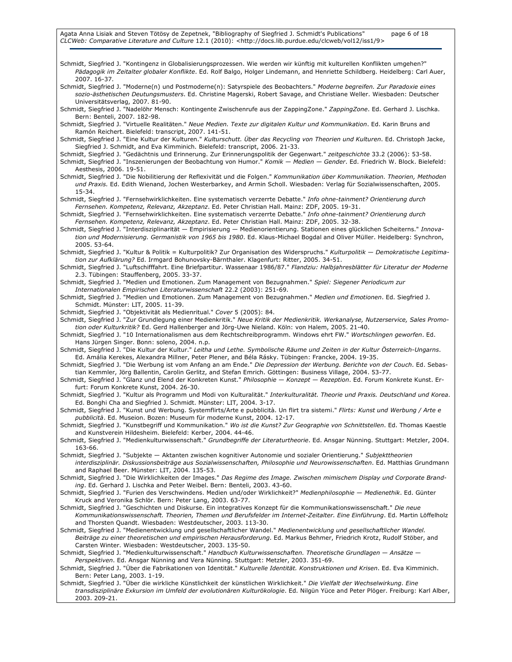Schmidt, Siegfried J. "Kontingenz in Globalisierungsprozessen. Wie werden wir künftig mit kulturellen Konflikten umgehen?" Pädagogik im Zeitalter globaler Konflikte. Ed. Rolf Balgo, Holger Lindemann, and Henriette Schildberg. Heidelberg: Carl Auer, 2007. 16-37. Schmidt, Siegfried J. "Moderne(n) und Postmoderne(n): Satyrspiele des Beobachters." Moderne begreifen. Zur Paradoxie eines sozio-ästhetischen Deutungsmusters. Ed. Christine Magerski, Robert Savage, and Christiane Weller. Wiesbaden: Deutscher Universitätsverlag, 2007. 81-90. Schmidt, Siegfried J. "Nadelöhr Mensch: Kontingente Zwischenrufe aus der ZappingZone." ZappingZone. Ed. Gerhard J. Lischka. Bern: Benteli, 2007. 182-98. Schmidt, Siegfried J. "Virtuelle Realitäten." Neue Medien. Texte zur digitalen Kultur und Kommunikation. Ed. Karin Bruns and Ramón Reichert. Bielefeld: transcript, 2007. 141-51. Schmidt, Siegfried J. "Eine Kultur der Kulturen." Kulturschutt. Über das Recycling von Theorien und Kulturen. Ed. Christoph Jacke, Siegfried J. Schmidt, and Eva Kimminich. Bielefeld: transcript, 2006. 21-33. Schmidt, Siegfried J. "Gedächtnis und Erinnerung. Zur Erinnerungspolitik der Gegenwart." zeitgeschichte 33.2 (2006): 53-58. Schmidt, Siegfried J. "Inszenierungen der Beobachtung von Humor." Komik - Medien - Gender. Ed. Friedrich W. Block. Bielefeld: Aesthesis, 2006. 19-51. Schmidt, Siegfried J. "Die Nobilitierung der Reflexivität und die Folgen." Kommunikation über Kommunikation. Theorien, Methoden und Praxis. Ed. Edith Wienand, Jochen Westerbarkey, and Armin Scholl. Wiesbaden: Verlag für Sozialwissenschaften, 2005. 15-34. Schmidt, Siegfried J. "Fernsehwirklichkeiten. Eine systematisch verzerrte Debatte." Info ohne-tainment? Orientierung durch Fernsehen. Kompetenz, Relevanz, Akzeptanz. Ed. Peter Christian Hall. Mainz: ZDF, 2005. 19-31. Schmidt, Siegfried J. "Fernsehwirklichkeiten. Eine systematisch verzerrte Debatte." Info ohne-tainment? Orientierung durch Fernsehen. Kompetenz, Relevanz, Akzeptanz. Ed. Peter Christian Hall. Mainz: ZDF, 2005. 32-38. Schmidt, Siegfried J. "Interdisziplinarität — Empirisierung — Medienorientierung. Stationen eines glücklichen Scheiterns." Innovation und Modernisierung. Germanistik von 1965 bis 1980. Ed. Klaus-Michael Bogdal and Oliver Müller. Heidelberg: Synchron, 2005. 53-64. Schmidt, Siegfried J. "Kultur & Politik = Kulturpolitik? Zur Organisation des Widerspruchs." Kulturpolitik - Demokratische Legitimation zur Aufklärung? Ed. Irmgard Bohunovsky-Bärnthaler. Klagenfurt: Ritter, 2005. 34-51. Schmidt, Siegfried J. "Luftschifffahrt. Eine Briefpartitur. Wassenaar 1986/87." Flandziu: Halbjahresblätter für Literatur der Moderne 2.3. Tübingen: Stauffenberg, 2005. 33-37. Schmidt, Siegfried J. "Medien und Emotionen. Zum Management von Bezugnahmen." Spiel: Siegener Periodicum zur Internationalen Empirischen Literaturwissenschaft 22.2 (2003): 251-69. Schmidt, Siegfried J. "Medien und Emotionen. Zum Management von Bezugnahmen." Medien und Emotionen. Ed. Siegfried J. Schmidt. Münster: LIT, 2005. 11-39. Schmidt, Siegfried J. "Objektivität als Medienritual." Cover 5 (2005): 84. Schmidt, Siegfried J. "Zur Grundlegung einer Medienkritik." Neue Kritik der Medienkritik. Werkanalyse, Nutzerservice, Sales Promotion oder Kulturkritik? Ed. Gerd Hallenberger and Jörg-Uwe Nieland. Köln: von Halem, 2005. 21-40. Schmidt, Siegfried J. "10 Internationalismen aus dem Rechtschreibprogramm. Windows ehrt FW." Wortschlingen geworfen. Ed. Hans Jürgen Singer. Bonn: soleno, 2004. n.p. Schmidt, Siegfried J. "Die Kultur der Kultur." Leitha und Lethe. Symbolische Räume und Zeiten in der Kultur Österreich-Ungarns. Ed. Amália Kerekes, Alexandra Millner, Peter Plener, and Béla Rásky. Tübingen: Francke, 2004. 19-35. Schmidt, Siegfried J. "Die Werbung ist vom Anfang an am Ende." Die Depression der Werbung. Berichte von der Couch. Ed. Sebastian Kemmler, Jörg Ballentin, Carolin Gerlitz, and Stefan Emrich. Göttingen: Business Village, 2004. 53-77. Schmidt, Siegfried J. "Glanz und Elend der Konkreten Kunst." Philosophie - Konzept - Rezeption. Ed. Forum Konkrete Kunst. Erfurt: Forum Konkrete Kunst, 2004. 26-30. Schmidt, Siegfried J. "Kultur als Programm und Modi von Kulturalität." Interkulturalität. Theorie und Praxis. Deutschland und Korea. Ed. Bonghi Cha and Siegfried J. Schmidt. Münster: LIT, 2004. 3-17. Schmidt, Siegfried J. "Kunst und Werbung. Systemflirts/Arte e pubblicità. Un flirt tra sistemi." Flirts: Kunst und Werbung / Arte e pubblicità. Ed. Museion. Bozen: Museum für moderne Kunst, 2004. 12-17. Schmidt, Siegfried J. "Kunstbegriff und Kommunikation." Wo ist die Kunst? Zur Geographie von Schnittstellen. Ed. Thomas Kaestle and Kunstverein Hildesheim. Bielefeld: Kerber, 2004. 44-46. Schmidt, Siegfried J. "Medienkulturwissenschaft." Grundbegriffe der Literaturtheorie. Ed. Ansgar Nünning. Stuttgart: Metzler, 2004. 163-66. Schmidt, Siegfried J. "Subjekte - Aktanten zwischen kognitiver Autonomie und sozialer Orientierung." Subjekttheorien interdisziplinär. Diskussionsbeiträge aus Sozialwissenschaften, Philosophie und Neurowissenschaften. Ed. Matthias Grundmann and Raphael Beer. Münster: LIT, 2004. 135-53. Schmidt, Siegfried J. "Die Wirklichkeiten der Images." Das Regime des Image. Zwischen mimischem Display und Corporate Branding. Ed. Gerhard J. Lischka and Peter Weibel. Bern: Benteli, 2003. 43-60. Schmidt, Siegfried J. "Furien des Verschwindens. Medien und/oder Wirklichkeit?" Medienphilosophie - Medienethik. Ed. Günter Kruck and Veronika Schlör. Bern: Peter Lang, 2003. 63-77. Schmidt, Siegfried J. "Geschichten und Diskurse. Ein integratives Konzept für die Kommunikationswissenschaft." Die neue Kommunikationswissenschaft. Theorien, Themen und Berufsfelder im Internet-Zeitalter. Eine Einführung. Ed. Martin Löffelholz and Thorsten Quandt. Wiesbaden: Westdeutscher, 2003. 113-30. Schmidt, Siegfried J. "Medienentwicklung und gesellschaftlicher Wandel." Medienentwicklung und gesellschaftlicher Wandel. Beiträge zu einer theoretischen und empirischen Herausforderung. Ed. Markus Behmer, Friedrich Krotz, Rudolf Stöber, and Carsten Winter. Wiesbaden: Westdeutscher, 2003. 135-50. Schmidt, Siegfried J. "Medienkulturwissenschaft." Handbuch Kulturwissenschaften. Theoretische Grundlagen - Ansätze -Perspektiven. Ed. Ansgar Nünning and Vera Nünning. Stuttgart: Metzler, 2003. 351-69. Schmidt, Siegfried J. "Über die Fabrikationen von Identität." Kulturelle Identität. Konstruktionen und Krisen. Ed. Eva Kimminich. Bern: Peter Lang, 2003. 1-19. Schmidt, Siegfried J. "Über die wirkliche Künstlichkeit der künstlichen Wirklichkeit." Die Vielfalt der Wechselwirkung. Eine transdisziplinäre Exkursion im Umfeld der evolutionären Kulturökologie. Ed. Nilgün Yüce and Peter Plöger. Freiburg: Karl Alber, 2003. 209-21.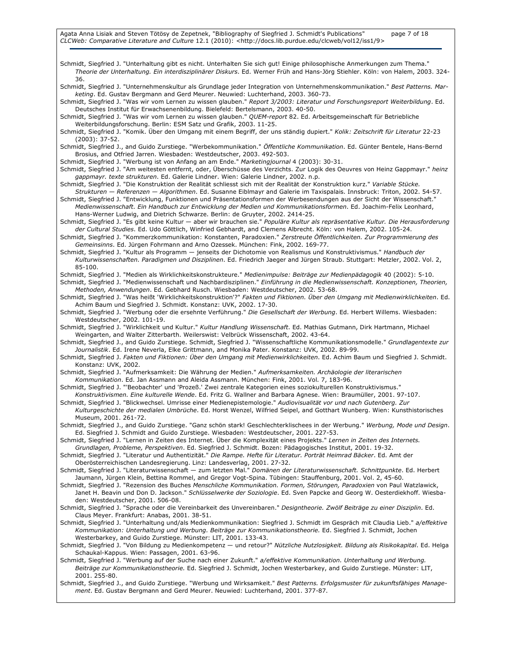Schmidt, Siegfried J. "Unterhaltung gibt es nicht. Unterhalten Sie sich gut! Einige philosophische Anmerkungen zum Thema." Theorie der Unterhaltung. Ein interdisziplinärer Diskurs. Ed. Werner Früh and Hans-Jörg Stiehler. Köln: von Halem, 2003. 324- 36. Schmidt, Siegfried J. "Unternehmenskultur als Grundlage jeder Integration von Unternehmenskommunikation." Best Patterns. Marketing. Ed. Gustav Bergmann and Gerd Meurer. Neuwied: Luchterhand, 2003. 360-73. Schmidt, Siegfried J. "Was wir vom Lernen zu wissen glauben." Report 3/2003: Literatur und Forschungsreport Weiterbildung. Ed. Deutsches Institut für Erwachsenenbildung. Bielefeld: Bertelsmann, 2003. 40-50. Schmidt, Siegfried J. "Was wir vom Lernen zu wissen glauben." QUEM-report 82. Ed. Arbeitsgemeinschaft für Betriebliche Weiterbildungsforschung. Berlin: ESM Satz und Grafik, 2003. 11-25. Schmidt, Siegfried J. "Komik. Über den Umgang mit einem Begriff, der uns ständig dupiert." Kolik: Zeitschrift für Literatur 22-23 (2003): 37-52. Schmidt, Siegfried J., and Guido Zurstiege. "Werbekommunikation." Öffentliche Kommunikation. Ed. Günter Bentele, Hans-Bernd Brosius, and Otfried Jarren. Wiesbaden: Westdeutscher, 2003. 492-503. Schmidt, Siegfried J. "Werbung ist von Anfang an am Ende." Marketingjournal 4 (2003): 30-31. Schmidt, Siegfried J. "Am weitesten entfernt, oder, Überschüsse des Verzichts. Zur Logik des Oeuvres von Heinz Gappmayr." heinz gappmayr. texte strukturen. Ed. Galerie Lindner. Wien: Galerie Lindner, 2002. n.p. Schmidt, Siegfried J. "Die Konstruktion der Realität schliesst sich mit der Realität der Konstruktion kurz." Variable Stücke. Strukturen — Referenzen — Algorithmen. Ed. Susanne Eiblmayr and Galerie im Taxispalais. Innsbruck: Triton, 2002. 54-57. Schmidt, Siegfried J. "Entwicklung, Funktionen und Präsentationsformen der Werbesendungen aus der Sicht der Wissenschaft." Medienwissenschaft. Ein Handbuch zur Entwicklung der Medien und Kommunikationsformen. Ed. Joachim-Felix Leonhard, Hans-Werner Ludwig, and Dietrich Schwarze. Berlin: de Gruyter, 2002. 2414-25. Schmidt, Siegfried J. "Es gibt keine Kultur - aber wir brauchen sie." Populäre Kultur als repräsentative Kultur. Die Herausforderung der Cultural Studies. Ed. Udo Göttlich, Winfried Gebhardt, and Clemens Albrecht. Köln: von Halem, 2002. 105-24. Schmidt, Siegfried J. "Kommerzkommunikation: Konstanten, Paradoxien." Zerstreute Öffentlichkeiten. Zur Programmierung des Gemeinsinns. Ed. Jürgen Fohrmann and Arno Ozessek. München: Fink, 2002. 169-77. Schmidt, Siegfried J. "Kultur als Programm - jenseits der Dichotomie von Realismus und Konstruktivismus." Handbuch der Kulturwissenschaften. Paradigmen und Disziplinen. Ed. Friedrich Jaeger and Jürgen Straub. Stuttgart: Metzler, 2002. Vol. 2, 85-100. Schmidt, Siegfried J. "Medien als Wirklichkeitskonstrukteure." Medienimpulse: Beiträge zur Medienpädagogik 40 (2002): 5-10. Schmidt, Siegfried J. "Medienwissenschaft und Nachbardisziplinen." Einführung in die Medienwissenschaft. Konzeptionen, Theorien, Methoden, Anwendungen. Ed. Gebhard Rusch. Wiesbaden: Westdeutscher, 2002. 53-68. Schmidt, Siegfried J. "Was heißt 'Wirklichkeitskonstruktion'?" Fakten und Fiktionen. Über den Umgang mit Medienwirklichkeiten. Ed. Achim Baum und Siegfried J. Schmidt. Konstanz: UVK, 2002. 17-30. Schmidt, Siegfried J. "Werbung oder die ersehnte Verführung." Die Gesellschaft der Werbung. Ed. Herbert Willems. Wiesbaden: Westdeutscher, 2002. 101-19. Schmidt, Siegfried J. "Wirklichkeit und Kultur." Kultur Handlung Wissenschaft. Ed. Mathias Gutmann, Dirk Hartmann, Michael Weingarten, and Walter Zitterbarth. Weilerswist: Velbrück Wissenschaft, 2002. 43-64. Schmidt, Siegfried J., and Guido Zurstiege. Schmidt, Siegfried J. "Wissenschaftliche Kommunikationsmodelle." Grundlagentexte zur Journalistik. Ed. Irene Neverla, Elke Grittmann, and Monika Pater. Konstanz: UVK, 2002. 89-99. Schmidt, Siegfried J. Fakten und Fiktionen: Über den Umgang mit Medienwirklichkeiten. Ed. Achim Baum und Siegfried J. Schmidt. Konstanz: UVK, 2002. Schmidt, Siegfried J. "Aufmerksamkeit: Die Währung der Medien." Aufmerksamkeiten. Archäologie der literarischen Kommunikation. Ed. Jan Assmann and Aleida Assmann. München: Fink, 2001. Vol. 7, 183-96. Schmidt, Siegfried J. "'Beobachter' und 'Prozeß.' Zwei zentrale Kategorien eines soziokulturellen Konstruktivismus." Konstruktivismen. Eine kulturelle Wende. Ed. Fritz G. Wallner and Barbara Agnese. Wien: Braumüller, 2001. 97-107. Schmidt, Siegfried J. "Blickwechsel. Umrisse einer Medienepistemologie." Audiovisualität vor und nach Gutenberg. Zur Kulturgeschichte der medialen Umbrüche. Ed. Horst Wenzel, Wilfried Seipel, and Gotthart Wunberg. Wien: Kunsthistorisches Museum, 2001. 261-72. Schmidt, Siegfried J., and Guido Zurstiege. "Ganz schön stark! Geschlechterklischees in der Werbung." Werbung, Mode und Design. Ed. Siegfried J. Schmidt and Guido Zurstiege. Wiesbaden: Westdeutscher, 2001. 227-53. Schmidt, Siegfried J. "Lernen in Zeiten des Internet. Über die Komplexität eines Projekts." Lernen in Zeiten des Internets. Grundlagen, Probleme, Perspektiven. Ed. Siegfried J. Schmidt. Bozen: Pädagogisches Institut, 2001. 19-32. Schmidt, Siegfried J. "Literatur und Authentizität." Die Rampe. Hefte für Literatur. Porträt Heimrad Bäcker. Ed. Amt der Oberösterreichischen Landesregierung. Linz: Landesverlag, 2001. 27-32. Schmidt, Siegfried J. "Literaturwissenschaft — zum letzten Mal." Domänen der Literaturwissenschaft. Schnittpunkte. Ed. Herbert Jaumann, Jürgen Klein, Bettina Rommel, and Gregor Vogt-Spina. Tübingen: Stauffenburg, 2001. Vol. 2, 45-60. Schmidt, Siegfried J. "Rezension des Buches Menschliche Kommunikation. Formen, Störungen, Paradoxien von Paul Watzlawick, Janet H. Beavin und Don D. Jackson." Schlüsselwerke der Soziologie. Ed. Sven Papcke and Georg W. Oesterdiekhoff. Wiesbaden: Westdeutscher, 2001. 506-08. Schmidt, Siegfried J. "Sprache oder die Vereinbarkeit des Unvereinbaren." Designtheorie. Zwölf Beiträge zu einer Disziplin. Ed. Claus Meyer. Frankfurt: Anabas, 2001. 38-51. Schmidt, Siegfried J. "Unterhaltung und/als Medienkommunikation: Siegfried J. Schmidt im Gespräch mit Claudia Lieb." a/effektive Kommunikation: Unterhaltung und Werbung. Beiträge zur Kommunikationstheorie. Ed. Siegfried J. Schmidt, Jochen Westerbarkey, and Guido Zurstiege. Münster: LIT, 2001. 133-43. Schmidt, Siegfried J. "Von Bildung zu Medienkompetenz - und retour?" Nützliche Nutzlosigkeit. Bildung als Risikokapital. Ed. Helga Schaukal-Kappus. Wien: Passagen, 2001. 63-96. Schmidt, Siegfried J. "Werbung auf der Suche nach einer Zukunft." a/effektive Kommunikation. Unterhaltung und Werbung. Beiträge zur Kommunikationstheorie. Ed. Siegfried J. Schmidt, Jochen Westerbarkey, and Guido Zurstiege. Münster: LIT, 2001. 255-80. Schmidt, Siegfried J., and Guido Zurstiege. "Werbung und Wirksamkeit." Best Patterns. Erfolgsmuster für zukunftsfähiges Management. Ed. Gustav Bergmann and Gerd Meurer. Neuwied: Luchterhand, 2001. 377-87.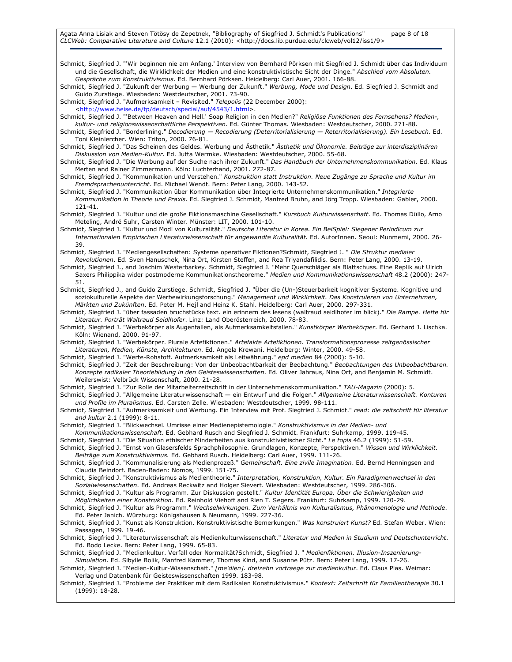Agata Anna Lisiak and Steven Tötösy de Zepetnek, "Bibliography of Siegfried J. Schmidt's Publications" page 8 of 18

CLCWeb: Comparative Literature and Culture 12.1 (2010): <http://docs.lib.purdue.edu/clcweb/vol12/iss1/9>

Schmidt, Siegfried J. "'Wir beginnen nie am Anfang.' Interview von Bernhard Pörksen mit Siegfried J. Schmidt über das Individuum und die Gesellschaft, die Wirklichkeit der Medien und eine konstruktivistische Sicht der Dinge." Abschied vom Absoluten. Gespräche zum Konstruktivismus. Ed. Bernhard Pörksen. Heidelberg: Carl Auer, 2001. 166-88.

Schmidt, Siegfried J. "Zukunft der Werbung — Werbung der Zukunft." Werbung, Mode und Design. Ed. Siegfried J. Schmidt and Guido Zurstiege. Wiesbaden: Westdeutscher, 2001. 73-90.

Schmidt, Siegfried J. "Aufmerksamkeit - Revisited." Telepolis (22 December 2000):

<http://www.heise.de/tp/deutsch/special/auf/4543/1.html>.

Schmidt, Siegfried J. "'Between Heaven and Hell.' Soap Religion in den Medien?" Religiöse Funktionen des Fernsehens? Medien-, kultur- und religionswissenschaftliche Perspektiven. Ed. Günter Thomas. Wiesbaden: Westdeutscher, 2000. 271-88.

- Schmidt, Siegfried J. "Borderlining." Decodierung Recodierung (Deterritorialisierung Reterritorialisierung). Ein Lesebuch. Ed. Toni Kleinlercher. Wien: Triton, 2000. 76-81.
- Schmidt, Siegfried J. "Das Scheinen des Geldes. Werbung und Ästhetik." Ästhetik und Ökonomie. Beiträge zur interdisziplinären Diskussion von Medien-Kultur. Ed. Jutta Wermke. Wiesbaden: Westdeutscher, 2000. 55-68.
- Schmidt, Siegfried J. "Die Werbung auf der Suche nach ihrer Zukunft." Das Handbuch der Unternehmenskommunikation. Ed. Klaus Merten and Rainer Zimmermann. Köln: Luchterhand, 2001. 272-87.
- Schmidt, Siegfried J. "Kommunikation und Verstehen." Konstruktion statt Instruktion. Neue Zugänge zu Sprache und Kultur im Fremdsprachenunterricht. Ed. Michael Wendt. Bern: Peter Lang, 2000. 143-52.
- Schmidt, Siegfried J. "Kommunikation über Kommunikation über Integrierte Unternehmenskommunikation." Integrierte Kommunikation in Theorie und Praxis. Ed. Siegfried J. Schmidt, Manfred Bruhn, and Jörg Tropp. Wiesbaden: Gabler, 2000. 121-41.
- Schmidt, Siegfried J. "Kultur und die große Fiktionsmaschine Gesellschaft." Kursbuch Kulturwissenschaft. Ed. Thomas Düllo, Arno Meteling, André Suhr, Carsten Winter. Münster: LIT, 2000. 101-10.
- Schmidt, Siegfried J. "Kultur und Modi von Kulturalität." Deutsche Literatur in Korea. Ein BeiSpiel: Siegener Periodicum zur Internationalen Empirischen Literaturwissenschaft für angewandte Kulturalität. Ed. AutorInnen. Seoul: Munmemi, 2000. 26- 39.
- Schmidt, Siegfried J. "Mediengesellschaften: Systeme operativer Fiktionen?Schmidt, Siegfried J. " Die Struktur medialer Revolutionen. Ed. Sven Hanuschek, Nina Ort, Kirsten Steffen, and Rea Triyandafilidis. Bern: Peter Lang, 2000. 13-19.

Schmidt, Siegfried J., and Joachim Westerbarkey. Schmidt, Siegfried J. "Mehr Querschläger als Blattschuss. Eine Replik auf Ulrich Saxers Philippika wider postmoderne Kommunikationstheoreme." Medien und Kommunikationswissenschaft 48.2 (2000): 247-51.

Schmidt, Siegfried J., and Guido Zurstiege. Schmidt, Siegfried J. "Über die (Un-)Steuerbarkeit kognitiver Systeme. Kognitive und soziokulturelle Aspekte der Werbewirkungsforschung." Management und Wirklichkeit. Das Konstruieren von Unternehmen, Märkten und Zukünften. Ed. Peter M. Hejl and Heinz K. Stahl. Heidelberg: Carl Auer, 2000. 297-331.

Schmidt, Siegfried J. "über fassaden bruchstücke text. ein erinnern des lesens (waltraud seidlhofer im blick)." Die Rampe. Hefte für Literatur. Porträt Waltraud Seidlhofer. Linz: Land Oberösterreich, 2000. 78-83.

Schmidt, Siegfried J. "Werbekörper als Augenfallen, als Aufmerksamkeitsfallen." Kunstkörper Werbekörper. Ed. Gerhard J. Lischka. Köln: Wienand, 2000. 91-97.

Schmidt, Siegfried J. "Werbekörper. Plurale Artefiktionen." Artefakte Artefiktionen. Transformationsprozesse zeitgenössischer Literaturen, Medien, Künste, Architekturen. Ed. Angela Krewani. Heidelberg: Winter, 2000. 49-58.

Schmidt, Siegfried J. "Werte-Rohstoff. Aufmerksamkeit als Leitwährung." epd medien 84 (2000): 5-10.

Schmidt, Siegfried J. "Zeit der Beschreibung: Von der Unbeobachtbarkeit der Beobachtung." Beobachtungen des Unbeobachtbaren. Konzepte radikaler Theoriebildung in den Geisteswissenschaften. Ed. Oliver Jahraus, Nina Ort, and Benjamin M. Schmidt. Weilerswist: Velbrück Wissenschaft, 2000. 21-28.

Schmidt, Siegfried J. "Zur Rolle der Mitarbeiterzeitschrift in der Unternehmenskommunikation." TAU-Magazin (2000): 5.

- Schmidt, Siegfried J. "Allgemeine Literaturwissenschaft ein Entwurf und die Folgen." Allgemeine Literaturwissenschaft. Konturen und Profile im Pluralismus. Ed. Carsten Zelle. Wiesbaden: Westdeutscher, 1999. 98-111.
- Schmidt, Siegfried J. "Aufmerksamkeit und Werbung. Ein Interview mit Prof. Siegfried J. Schmidt." read: die zeitschrift für literatur and kultur 2.1 (1999): 8-11.

Schmidt, Siegfried J. "Blickwechsel. Umrisse einer Medienepistemologie." Konstruktivismus in der Medien- und

Kommunikationswissenschaft. Ed. Gebhard Rusch and Siegfried J. Schmidt. Frankfurt: Suhrkamp, 1999. 119-45.

Schmidt, Siegfried J. "Die Situation ethischer Minderheiten aus konstruktivistischer Sicht." Le topis 46.2 (1999): 51-59.

Schmidt, Siegfried J. "Ernst von Glasersfelds Sprachphilosophie. Grundlagen, Konzepte, Perspektiven." Wissen und Wirklichkeit. Beiträge zum Konstruktivismus. Ed. Gebhard Rusch. Heidelberg: Carl Auer, 1999. 111-26.

Schmidt, Siegfried J. "Kommunalisierung als Medienprozeß." Gemeinschaft. Eine zivile Imagination. Ed. Bernd Henningsen and Claudia Beindorf. Baden-Baden: Nomos, 1999. 151-75.

Schmidt, Siegfried J. "Konstruktivismus als Medientheorie." Interpretation, Konstruktion, Kultur. Ein Paradigmenwechsel in den Sozialwissenschaften. Ed. Andreas Reckwitz and Holger Sievert. Wiesbaden: Westdeutscher, 1999. 286-306.

- Schmidt, Siegfried J. "Kultur als Programm. Zur Diskussion gestellt." Kultur Identität Europa. Über die Schwierigkeiten und Möglichkeiten einer Konstruktion. Ed. Reinhold Viehoff and Rien T. Segers. Frankfurt: Suhrkamp, 1999. 120-29.
- Schmidt, Siegfried J. "Kultur als Programm." Wechselwirkungen. Zum Verhältnis von Kulturalismus, Phänomenologie und Methode. Ed. Peter Janich. Würzburg: Königshausen & Neumann, 1999. 227-36.

Schmidt, Siegfried J. "Kunst als Konstruktion. Konstruktivistische Bemerkungen." Was konstruiert Kunst? Ed. Stefan Weber. Wien: Passagen, 1999. 19-46.

Schmidt, Siegfried J. "Literaturwissenschaft als Medienkulturwissenschaft." Literatur und Medien in Studium und Deutschunterricht. Ed. Bodo Lecke. Bern: Peter Lang, 1999. 65-83.

Schmidt, Siegfried J. "Medienkultur. Verfall oder Normalität?Schmidt, Siegfried J. " Medienfiktionen. Illusion-Inszenierung-Simulation. Ed. Sibylle Bolik, Manfred Kammer, Thomas Kind, and Susanne Pütz. Bern: Peter Lang, 1999. 17-26.

Schmidt, Siegfried J. "Medien-Kultur-Wissenschaft." [me'dien]. dreizehn vortraege zur medienkultur. Ed. Claus Pias. Weimar: Verlag und Datenbank für Geisteswissenschaften 1999. 183-98.

Schmidt, Siegfried J. "Probleme der Praktiker mit dem Radikalen Konstruktivismus." Kontext: Zeitschrift für Familientherapie 30.1 (1999): 18-28.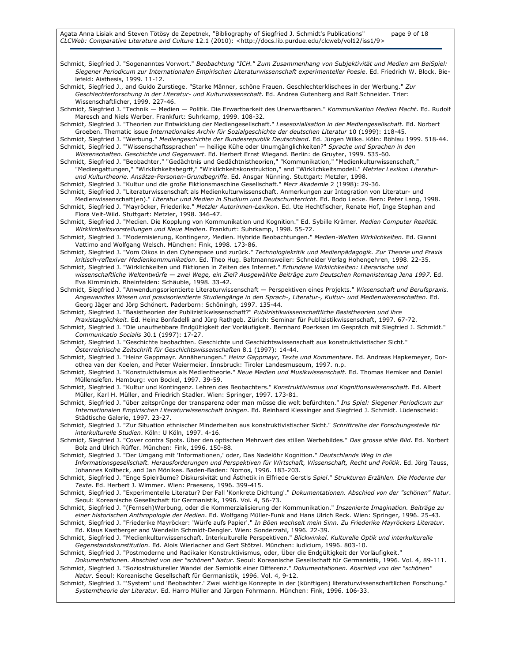Agata Anna Lisiak and Steven Tötösy de Zepetnek, "Bibliography of Siegfried J. Schmidt's Publications" page 9 of 18 CLCWeb: Comparative Literature and Culture 12.1 (2010): <http://docs.lib.purdue.edu/clcweb/vol12/iss1/9>

Schmidt, Siegfried J. "Sogenanntes Vorwort." Beobachtung "ICH." Zum Zusammenhang von Subjektivität und Medien am BeiSpiel: Siegener Periodicum zur Internationalen Empirischen Literaturwissenschaft experimenteller Poesie. Ed. Friedrich W. Block. Bielefeld: Aisthesis, 1999. 11-12. Schmidt, Siegfried J., and Guido Zurstiege. "Starke Männer, schöne Frauen. Geschlechterklischees in der Werbung." Zur Geschlechterforschung in der Literatur- und Kulturwissenschaft. Ed. Andrea Gutenberg and Ralf Schneider. Trier: Wissenschaftlicher, 1999. 227-46. Schmidt, Siegfried J. "Technik - Medien - Politik. Die Erwartbarkeit des Unerwartbaren." Kommunikation Medien Macht. Ed. Rudolf Maresch and Niels Werber. Frankfurt: Suhrkamp, 1999. 108-32. Schmidt, Siegfried J. "Theorien zur Entwicklung der Mediengesellschaft." Lesesozialisation in der Mediengesellschaft. Ed. Norbert Groeben. Thematic issue Internationales Archiv für Sozialgeschichte der deutschen Literatur 10 (1999): 118-45. Schmidt, Siegfried J. "Werbung." Mediengeschichte der Bundesrepublik Deutschland. Ed. Jürgen Wilke. Köln: Böhlau 1999. 518-44. Schmidt, Siegfried J. "'Wissenschaftssprachen' — heilige Kühe oder Unumgänglichkeiten?" Sprache und Sprachen in den Wissenschaften. Geschichte und Gegenwart. Ed. Herbert Ernst Wiegand. Berlin: de Gruyter, 1999. 535-60. Schmidt, Siegfried J. "Beobachter," "Gedächtnis und Gedächtnistheorien," "Kommunikation," "Medienkulturwissenschaft," "Mediengattungen," "Wirklichkeitsbegrff," "Wirklichkeitskonstruktion," and "Wirklichkeitsmodell." Metzler Lexikon Literaturund Kulturtheorie. Ansätze-Personen-Grundbegriffe. Ed. Ansgar Nünning. Stuttgart: Metzler, 1998. Schmidt, Siegfried J. "Kultur und die große Fiktionsmaschine Gesellschaft." Merz Akademie 2 (1998): 29-36. Schmidt, Siegfried J. "Literaturwissenschaft als Medienkulturwissenschaft. Anmerkungen zur Integration von Literatur- und Medienwissenschaft(en)." Literatur und Medien in Studium und Deutschunterricht. Ed. Bodo Lecke. Bern: Peter Lang, 1998. Schmidt, Siegfried J. "Mayröcker, Friederike." Metzler Autorinnen-Lexikon. Ed. Ute Hechtfischer, Renate Hof, Inge Stephan and Flora Veit-Wild. Stuttgart: Metzler, 1998. 346-47. Schmidt, Siegfried J. "Medien. Die Kopplung von Kommunikation und Kognition." Ed. Sybille Krämer. Medien Computer Realität. Wirklichkeitsvorstellungen und Neue Medien. Frankfurt: Suhrkamp, 1998. 55-72. Schmidt, Siegfried J. "Modernisierung, Kontingenz, Medien. Hybride Beobachtungen." Medien-Welten Wirklichkeiten. Ed. Gianni Vattimo and Wolfgang Welsch. München: Fink, 1998. 173-86. Schmidt, Siegfried J. "Vom Oikos in den Cyberspace und zurück." Technologiekritik und Medienpädagogik. Zur Theorie und Praxis kritisch-reflexiver Medienkommunikation. Ed. Theo Hug. Baltmannsweiler: Schneider Verlag Hohengehren, 1998. 22-35. Schmidt, Siegfried J. "Wirklichkeiten und Fiktionen in Zeiten des Internet." Erfundene Wirklichkeiten: Literarische und wissenschaftliche Weltentwürfe — zwei Wege, ein Ziel? Ausgewählte Beiträge zum Deutschen Romanistentag Jena 1997. Ed. Eva Kimminich. Rheinfelden: Schäuble, 1998. 33-42. Schmidt, Siegfried J. "Anwendungsorientierte Literaturwissenschaft - Perspektiven eines Projekts." Wissenschaft und Berufspraxis. Angewandtes Wissen und praxisorientierte Studiengänge in den Sprach-, Literatur-, Kultur- und Medienwissenschaften. Ed. Georg Jäger and Jörg Schönert. Paderborn: Schöningh, 1997. 135-44. Schmidt, Siegfried J. "Basistheorien der Publizistikwissenschaft?" Publizistikwissenschaftliche Basistheorien und ihre Praxistauglichkeit. Ed. Heinz Bonfadelli and Jürg Rathgeb. Zürich: Seminar für Publizistikwissenschaft, 1997. 67-72. Schmidt, Siegfried J. "Die unaufhebbare Endgültigkeit der Vorläufigkeit. Bernhard Poerksen im Gespräch mit Siegfried J. Schmidt." Communicatio Socialis 30.1 (1997): 17-27. Schmidt, Siegfried J. "Geschichte beobachten. Geschichte und Geschichtswissenschaft aus konstruktivistischer Sicht." Österreichische Zeitschrift für Geschichtswissenschaften 8.1 (1997): 14-44. Schmidt, Siegfried J. "Heinz Gappmayr. Annäherungen." Heinz Gappmayr, Texte und Kommentare. Ed. Andreas Hapkemeyer, Dorothea van der Koelen, and Peter Weiermeier. Innsbruck: Tiroler Landesmuseum, 1997. n.p. Schmidt, Siegfried J. "Konstruktivismus als Medientheorie." Neue Medien und Musikwissenschaft. Ed. Thomas Hemker and Daniel Müllensiefen. Hamburg: von Bockel, 1997. 39-59. Schmidt, Siegfried J. "Kultur und Kontingenz. Lehren des Beobachters." Konstruktivismus und Kognitionswissenschaft. Ed. Albert Müller, Karl H. Müller, and Friedrich Stadler. Wien: Springer, 1997. 173-81. Schmidt, Siegfried J. "über zeitsprünge der transparenz oder man müsse die welt befürchten." Ins Spiel: Siegener Periodicum zur Internationalen Empirischen Literaturwissenschaft bringen. Ed. Reinhard Klessinger and Siegfried J. Schmidt. Lüdenscheid: Städtische Galerie, 1997. 23-27. Schmidt, Siegfried J. "Zur Situation ethnischer Minderheiten aus konstruktivistischer Sicht." Schriftreihe der Forschungsstelle für interkulturelle Studien. Köln: U Köln, 1997. 4-16. Schmidt, Siegfried J. "Cover contra Spots. Über den optischen Mehrwert des stillen Werbebildes." Das grosse stille Bild. Ed. Norbert Bolz and Ulrich Rüffer. München: Fink, 1996. 150-88. Schmidt, Siegfried J. "Der Umgang mit 'Informationen,' oder, Das Nadelöhr Kognition." Deutschlands Weg in die Informationsgesellschaft. Herausforderungen und Perspektiven für Wirtschaft, Wissenschaft, Recht und Politik. Ed. Jörg Tauss, Johannes Kollbeck, and Jan Mönikes. Baden-Baden: Nomos, 1996. 183-203.

Schmidt, Siegfried J. "Enge Spielräume? Diskursivität und Ästhetik in Elfriede Gerstls Spiel." Strukturen Erzählen. Die Moderne der Texte. Ed. Herbert J. Wimmer. Wien: Praesens, 1996. 399-415.

Schmidt, Siegfried J. "Experimentelle Literatur? Der Fall 'Konkrete Dichtung'." Dokumentationen. Abschied von der "schönen" Natur. Seoul: Koreanische Gesellschaft für Germanistik, 1996. Vol. 4, 56-73.

Schmidt, Siegfried J. "(Fernseh)Werbung, oder die Kommerzialisierung der Kommunikation." Inszenierte Imagination. Beiträge zu einer historischen Anthropologie der Medien. Ed. Wolfgang Müller-Funk and Hans Ulrich Reck. Wien: Springer, 1996. 25-43.

- Schmidt, Siegfried J. "Friederike Mayröcker: 'Würfe aufs Papier'." In Böen wechselt mein Sinn. Zu Friederike Mayröckers Literatur. Ed. Klaus Kastberger and Wendelin Schmidt-Dengler. Wien: Sonderzahl, 1996. 22-39.
- Schmidt, Siegfried J. "Medienkulturwissenschaft. Interkulturelle Perspektiven." Blickwinkel. Kulturelle Optik und interkulturelle Gegenstandskonstitution. Ed. Alois Wierlacher and Gert Stötzel. München: iudicium, 1996. 803-10.

Schmidt, Siegfried J. "Postmoderne und Radikaler Konstruktivismus, oder, Über die Endgültigkeit der Vorläufigkeit."

Dokumentationen. Abschied von der "schönen" Natur. Seoul: Koreanische Gesellschaft für Germanistik, 1996. Vol. 4, 89-111. Schmidt, Siegfried J. "Soziostruktureller Wandel der Semiotik einer Differenz." Dokumentationen. Abschied von der "schönen" Natur. Seoul: Koreanische Gesellschaft für Germanistik, 1996. Vol. 4, 9-12.

Schmidt, Siegfried J. "'System' und 'Beobachter.' Zwei wichtige Konzepte in der (künftigen) literaturwissenschaftlichen Forschung." Systemtheorie der Literatur. Ed. Harro Müller and Jürgen Fohrmann. München: Fink, 1996. 106-33.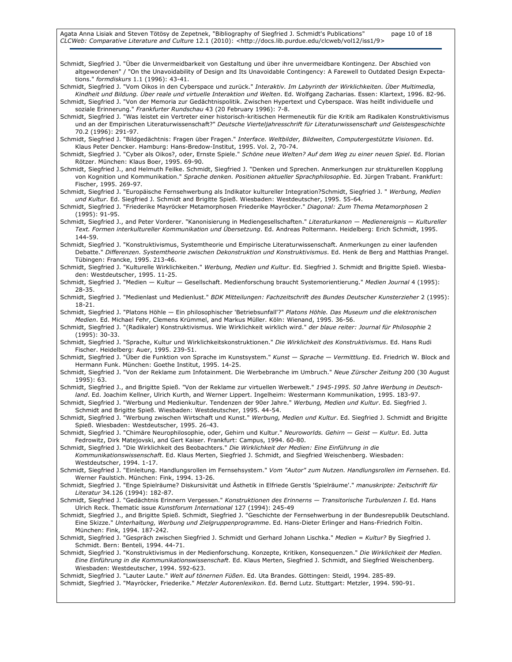Schmidt, Siegfried J. "Über die Unvermeidbarkeit von Gestaltung und über ihre unvermeidbare Kontingenz. Der Abschied von altgewordenen" / "On the Unavoidability of Design and Its Unavoidable Contingency: A Farewell to Outdated Design Expectations." formdiskurs 1.1 (1996): 43-41.

Schmidt, Siegfried J. "Vom Oikos in den Cyberspace und zurück." Interaktiv. Im Labyrinth der Wirklichkeiten. Über Multimedia, Kindheit und Bildung. Über reale und virtuelle Interaktion und Welten. Ed. Wolfgang Zacharias. Essen: Klartext, 1996. 82-96.

Schmidt, Siegfried J. "Von der Memoria zur Gedächtnispolitik. Zwischen Hypertext und Cyberspace. Was heißt individuelle und soziale Erinnerung." Frankfurter Rundschau 43 (20 February 1996): 7-8.

Schmidt, Siegfried J. "Was leistet ein Vertreter einer historisch-kritischen Hermeneutik für die Kritik am Radikalen Konstruktivismus und an der Empirischen Literaturwissenschaft?" Deutsche Vierteljahresschrift für Literaturwissenschaft und Geistesgeschichte 70.2 (1996): 291-97.

Schmidt, Siegfried J. "Bildgedächtnis: Fragen über Fragen." Interface. Weltbilder, Bildwelten, Computergestützte Visionen. Ed. Klaus Peter Dencker. Hamburg: Hans-Bredow-Institut, 1995. Vol. 2, 70-74.

Schmidt, Siegfried J. "Cyber als Oikos?, oder, Ernste Spiele." Schöne neue Welten? Auf dem Weg zu einer neuen Spiel. Ed. Florian Rötzer. München: Klaus Boer, 1995. 69-90.

Schmidt, Siegfried J., and Helmuth Feilke. Schmidt, Siegfried J. "Denken und Sprechen. Anmerkungen zur strukturellen Kopplung von Kognition und Kommunikation." Sprache denken. Positionen aktueller Sprachphilosophie. Ed. Jürgen Trabant. Frankfurt: Fischer, 1995. 269-97.

Schmidt, Siegfried J. "Europäische Fernsehwerbung als Indikator kultureller Integration?Schmidt, Siegfried J. " Werbung, Medien und Kultur. Ed. Siegfried J. Schmidt and Brigitte Spieß. Wiesbaden: Westdeutscher, 1995. 55-64.

Schmidt, Siegfried J. "Friederike Mayröcker Metamorphosen Friederike Mayröcker." Diagonal: Zum Thema Metamorphosen 2 (1995): 91-95.

Schmidt, Siegfried J., and Peter Vorderer. "Kanonisierung in Mediengesellschaften." Literaturkanon - Medienereignis - Kultureller Text. Formen interkultureller Kommunikation und Übersetzung. Ed. Andreas Poltermann. Heidelberg: Erich Schmidt, 1995. 144-59.

Schmidt, Siegfried J. "Konstruktivismus, Systemtheorie und Empirische Literaturwissenschaft. Anmerkungen zu einer laufenden Debatte." Differenzen. Systemtheorie zwischen Dekonstruktion und Konstruktivismus. Ed. Henk de Berg and Matthias Prangel. Tübingen: Francke, 1995. 213-46.

Schmidt, Siegfried J. "Kulturelle Wirklichkeiten." Werbung, Medien und Kultur. Ed. Siegfried J. Schmidt and Brigitte Spieß. Wiesbaden: Westdeutscher, 1995. 11-25.

Schmidt, Siegfried J. "Medien - Kultur - Gesellschaft. Medienforschung braucht Systemorientierung." Medien Journal 4 (1995): 28-35.

Schmidt, Siegfried J. "Medienlast und Medienlust." BDK Mitteilungen: Fachzeitschrift des Bundes Deutscher Kunsterzieher 2 (1995): 18-21.

Schmidt, Siegfried J. "Platons Höhle — Ein philosophischer 'Betriebsunfall'?" Platons Höhle. Das Museum und die elektronischen Medien. Ed. Michael Fehr, Clemens Krümmel, and Markus Müller. Köln: Wienand, 1995. 36-56.

Schmidt, Siegfried J. "(Radikaler) Konstruktivismus. Wie Wirklichkeit wirklich wird." der blaue reiter: Journal für Philosophie 2 (1995): 30-33.

Schmidt, Siegfried J. "Sprache, Kultur und Wirklichkeitskonstruktionen." Die Wirklichkeit des Konstruktivismus. Ed. Hans Rudi Fischer. Heidelberg: Auer, 1995. 239-51.

Schmidt, Siegfried J. "Über die Funktion von Sprache im Kunstsystem." Kunst - Sprache - Vermittlung. Ed. Friedrich W. Block and Hermann Funk. München: Goethe Institut, 1995. 14-25.

Schmidt, Siegfried J. "Von der Reklame zum Infotainment. Die Werbebranche im Umbruch." Neue Zürscher Zeitung 200 (30 August 1995): 63.

Schmidt, Siegfried J., and Brigitte Spieß. "Von der Reklame zur virtuellen Werbewelt." 1945-1995. 50 Jahre Werbung in Deutschland. Ed. Joachim Kellner, Ulrich Kurth, and Werner Lippert. Ingelheim: Westermann Kommunikation, 1995. 183-97.

Schmidt, Siegfried J. "Werbung und Medienkultur. Tendenzen der 90er Jahre." Werbung, Medien und Kultur. Ed. Siegfried J. Schmidt and Brigitte Spieß. Wiesbaden: Westdeutscher, 1995. 44-54.

Schmidt, Siegfried J. "Werbung zwischen Wirtschaft und Kunst." Werbung, Medien und Kultur. Ed. Siegfried J. Schmidt and Brigitte Spieß. Wiesbaden: Westdeutscher, 1995. 26-43.

Schmidt, Siegfried J. "Chimäre Neurophilosophie, oder, Gehirn und Kultur." Neuroworlds. Gehirn - Geist - Kultur. Ed. Jutta Fedrowitz, Dirk Matejovski, and Gert Kaiser. Frankfurt: Campus, 1994. 60-80.

Schmidt, Siegfried J. "Die Wirklichkeit des Beobachters." Die Wirklichkeit der Medien: Eine Einführung in die Kommunikationswissenschaft. Ed. Klaus Merten, Siegfried J. Schmidt, and Siegfried Weischenberg. Wiesbaden: Westdeutscher, 1994. 1-17.

Schmidt, Siegfried J. "Einleitung. Handlungsrollen im Fernsehsystem." Vom "Autor" zum Nutzen. Handlungsrollen im Fernsehen. Ed. Werner Faulstich. München: Fink, 1994. 13-26.

Schmidt, Siegfried J. "Enge Spielräume? Diskursivität und Ästhetik in Elfriede Gerstls 'Spielräume'." manuskripte: Zeitschrift für Literatur 34.126 (1994): 182-87.

Schmidt, Siegfried J. "Gedächtnis Erinnern Vergessen." Konstruktionen des Erinnerns — Transitorische Turbulenzen I. Ed. Hans Ulrich Reck. Thematic issue Kunstforum International 127 (1994): 245-49

Schmidt, Siegfried J., and Brigitte Spieß. Schmidt, Siegfried J. "Geschichte der Fernsehwerbung in der Bundesrepublik Deutschland. Eine Skizze." Unterhaltung, Werbung und Zielgruppenprogramme. Ed. Hans-Dieter Erlinger and Hans-Friedrich Foltin. München: Fink, 1994. 187-242.

Schmidt, Siegfried J. "Gespräch zwischen Siegfried J. Schmidt und Gerhard Johann Lischka." Medien = Kultur? By Siegfried J. Schmidt. Bern: Benteli, 1994. 44-71.

Schmidt, Siegfried J. "Konstruktivismus in der Medienforschung. Konzepte, Kritiken, Konsequenzen." Die Wirklichkeit der Medien. Eine Einführung in die Kommunikationswissenschaft. Ed. Klaus Merten, Siegfried J. Schmidt, and Siegfried Weischenberg. Wiesbaden: Westdeutscher, 1994. 592-623.

Schmidt, Siegfried J. "Lauter Laute." Welt auf tönernen Füßen. Ed. Uta Brandes. Göttingen: Steidl, 1994. 285-89.

Schmidt, Siegfried J. "Mayröcker, Friederike." Metzler Autorenlexikon. Ed. Bernd Lutz. Stuttgart: Metzler, 1994. 590-91.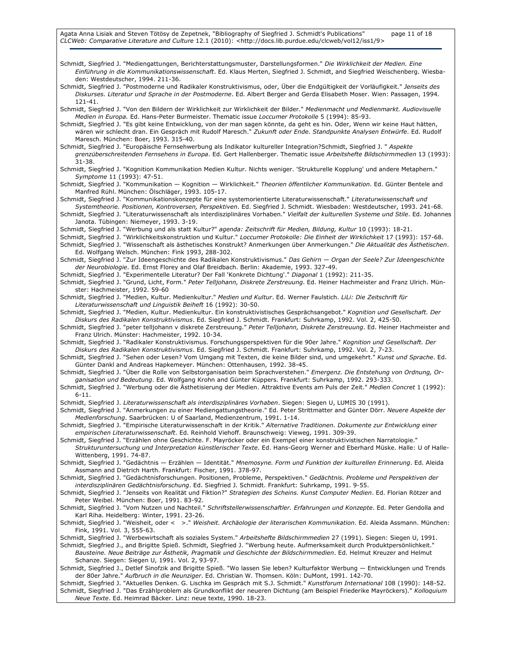Schmidt, Siegfried J. "Mediengattungen, Berichterstattungsmuster, Darstellungsformen." Die Wirklichkeit der Medien. Eine Einführung in die Kommunikationswissenschaft. Ed. Klaus Merten, Siegfried J. Schmidt, and Siegfried Weischenberg. Wiesbaden: Westdeutscher, 1994. 211-36. Schmidt, Siegfried J. "Postmoderne und Radikaler Konstruktivismus, oder, Über die Endgültigkeit der Vorläufigkeit." Jenseits des Diskurses. Literatur und Sprache in der Postmoderne. Ed. Albert Berger and Gerda Elisabeth Moser. Wien: Passagen, 1994. 121-41. Schmidt, Siegfried J. "Von den Bildern der Wirklichkeit zur Wirklichkeit der Bilder." Medienmacht und Medienmarkt. Audiovisuelle Medien in Europa. Ed. Hans-Peter Burmeister. Thematic issue Loccumer Protokolle 5 (1994): 85-93. Schmidt, Siegfried J. "Es gibt keine Entwicklung, von der man sagen könnte, da geht es hin. Oder, Wenn wir keine Haut hätten, wären wir schlecht dran. Ein Gespräch mit Rudolf Maresch." Zukunft oder Ende. Standpunkte Analysen Entwürfe. Ed. Rudolf Maresch. München: Boer, 1993. 315-40. Schmidt, Siegfried J. "Europäische Fernsehwerbung als Indikator kultureller Integration?Schmidt, Siegfried J. " Aspekte grenzüberschreitenden Fernsehens in Europa. Ed. Gert Hallenberger. Thematic issue Arbeitshefte Bildschirmmedien 13 (1993): 31-38. Schmidt, Siegfried J. "Kognition Kommunikation Medien Kultur. Nichts weniger. 'Strukturelle Kopplung' und andere Metaphern." Symptome 11 (1993): 47-51. Schmidt, Siegfried J. "Kommunikation — Kognition — Wirklichkeit." Theorien öffentlicher Kommunikation. Ed. Günter Bentele and Manfred Rühl. München: Ölschläger, 1993. 105-17. Schmidt, Siegfried J. "Kommunikationskonzepte für eine systemorientierte Literaturwissenschaft." Literaturwissenschaft und Systemtheorie. Positionen, Kontroversen, Perspektiven. Ed. Siegfried J. Schmidt. Wiesbaden: Westdeutscher, 1993. 241-68. Schmidt, Siegfried J. "Literaturwissenschaft als interdisziplinäres Vorhaben." Vielfalt der kulturellen Systeme und Stile. Ed. Johannes Janota. Tübingen: Niemeyer, 1993. 3-19. Schmidt, Siegfried J. "Werbung und als statt Kultur?" agenda: Zeitschrift für Medien, Bildung, Kultur 10 (1993): 18-21. Schmidt, Siegfried J. "Wirklichkeitskonstruktion und Kultur." Loccumer Protokolle: Die Einheit der Wirklichkeit 17 (1993): 157-68. Schmidt, Siegfried J. "Wissenschaft als ästhetisches Konstrukt? Anmerkungen über Anmerkungen." Die Aktualität des Ästhetischen. Ed. Wolfgang Welsch. München: Fink 1993, 288-302. Schmidt, Siegfried J. "Zur Ideengeschichte des Radikalen Konstruktivismus." Das Gehirn — Organ der Seele? Zur Ideengeschichte der Neurobiologie. Ed. Ernst Florey and Olaf Breidbach. Berlin: Akademie, 1993. 327-49. Schmidt, Siegfried J. "Experimentelle Literatur? Der Fall 'Konkrete Dichtung'." Diagonal 1 (1992): 211-35. Schmidt, Siegfried J. "Grund, Licht, Form." Peter Telljohann, Diskrete Zerstreuung. Ed. Heiner Hachmeister and Franz Ulrich. Münster: Hachmeister, 1992. 59-60 Schmidt, Siegfried J. "Medien, Kultur. Medienkultur." Medien und Kultur. Ed. Werner Faulstich. LiLi: Die Zeitschrift für Literaturwissenschaft und Linguistik Beiheft 16 (1992): 30-50. Schmidt, Siegfried J. "Medien, Kultur. Medienkultur. Ein konstruktivistisches Gesprächsangebot." Kognition und Gesellschaft. Der Diskurs des Radikalen Konstruktivismus. Ed. Siegfried J. Schmidt. Frankfurt: Suhrkamp, 1992. Vol. 2, 425-50. Schmidt, Siegfried J. "peter telljohann v diskrete Zerstreuung." Peter Telljohann, Diskrete Zerstreuung. Ed. Heiner Hachmeister and Franz Ulrich. Münster: Hachmeister, 1992. 10-34. Schmidt, Siegfried J. "Radikaler Konstruktivismus. Forschungsperspektiven für die 90er Jahre." Kognition und Gesellschaft. Der Diskurs des Radikalen Konstruktivismus. Ed. Siegfried J. Schmidt. Frankfurt: Suhrkamp, 1992. Vol. 2, 7-23. Schmidt, Siegfried J. "Sehen oder Lesen? Vom Umgang mit Texten, die keine Bilder sind, und umgekehrt." Kunst und Sprache. Ed. Günter Dankl and Andreas Hapkemeyer. München: Ottenhausen, 1992. 38-45. Schmidt, Siegfried J. "Über die Rolle von Selbstorganisation beim Sprachverstehen." Emergenz. Die Entstehung von Ordnung, Organisation und Bedeutung. Ed. Wolfgang Krohn and Günter Küppers. Frankfurt: Suhrkamp, 1992. 293-333. Schmidt, Siegfried J. "Werbung oder die Ästhetisierung der Medien. Attraktive Events am Puls der Zeit." Medien Concret 1 (1992): 6-11. Schmidt, Siegfried J. Literaturwissenschaft als interdisziplinäres Vorhaben. Siegen: Siegen U, LUMIS 30 (1991). Schmidt, Siegfried J. "Anmerkungen zu einer Mediengattungstheorie." Ed. Peter Strittmatter and Günter Dörr. Neuere Aspekte der Medienforschung. Saarbrücken: U of Saarland, Medienzentrum, 1991. 1-14. Schmidt, Siegfried J. "Empirische Literaturwissenschaft in der Kritik." Alternative Traditionen. Dokumente zur Entwicklung einer empirischen Literaturwissenschaft. Ed. Reinhold Viehoff. Braunschweig: Vieweg, 1991. 309-39. Schmidt, Siegfried J. "Erzählen ohne Geschichte. F. Mayröcker oder ein Exempel einer konstruktivistischen Narratologie." Strukturuntersuchung und Interpretation künstlerischer Texte. Ed. Hans-Georg Werner and Eberhard Müske. Halle: U of Halle-Wittenberg, 1991. 74-87. Schmidt, Siegfried J. "Gedächtnis - Erzählen - Identität." Mnemosyne. Form und Funktion der kulturellen Erinnerung. Ed. Aleida Assmann and Dietrich Harth. Frankfurt: Fischer, 1991. 378-97. Schmidt, Siegfried J. "Gedächtnisforschungen. Positionen, Probleme, Perspektiven." Gedächtnis. Probleme und Perspektiven der interdisziplinären Gedächtnisforschung. Ed. Siegfried J. Schmidt. Frankfurt: Suhrkamp, 1991. 9-55. Schmidt, Siegfried J. "Jenseits von Realität und Fiktion?" Strategien des Scheins. Kunst Computer Medien. Ed. Florian Rötzer and Peter Weibel. München: Boer, 1991. 83-92. Schmidt, Siegfried J. "Vom Nutzen und Nachteil." Schriftstellerwissenschaftler. Erfahrungen und Konzepte. Ed. Peter Gendolla and Karl Riha. Heidelberg: Winter, 1991. 23-26. Schmidt, Siegfried J. "Weisheit, oder < >." Weisheit. Archäologie der literarischen Kommunikation. Ed. Aleida Assmann. München: Fink, 1991. Vol. 3, 555-63. Schmidt, Siegfried J. "Werbewirtschaft als soziales System." Arbeitshefte Bildschirmmedien 27 (1991). Siegen: Siegen U, 1991. Schmidt, Siegfried J., and Brigitte Spieß. Schmidt, Siegfried J. "Werbung heute. Aufmerksamkeit durch Produktpersönlichkeit." Bausteine. Neue Beiträge zur Ästhetik, Pragmatik und Geschichte der Bildschirmmedien. Ed. Helmut Kreuzer and Helmut Schanze. Siegen: Siegen U, 1991. Vol. 2, 93-97. Schmidt, Siegfried J., Detlef Sinofzik and Brigitte Spieß. "Wo lassen Sie leben? Kulturfaktor Werbung — Entwicklungen und Trends der 80er Jahre." Aufbruch in die Neunziger. Ed. Christian W. Thomsen. Köln: DuMont, 1991. 142-70. Schmidt, Siegfried J. "Aktuelles Denken. G. Lischka im Gespräch mit S.J. Schmidt." Kunstforum International 108 (1990): 148-52. Schmidt, Siegfried J. "Das Erzählproblem als Grundkonflikt der neueren Dichtung (am Beispiel Friederike Mayröckers)." Kolloquium

Neue Texte. Ed. Heimrad Bäcker. Linz: neue texte, 1990. 18-23.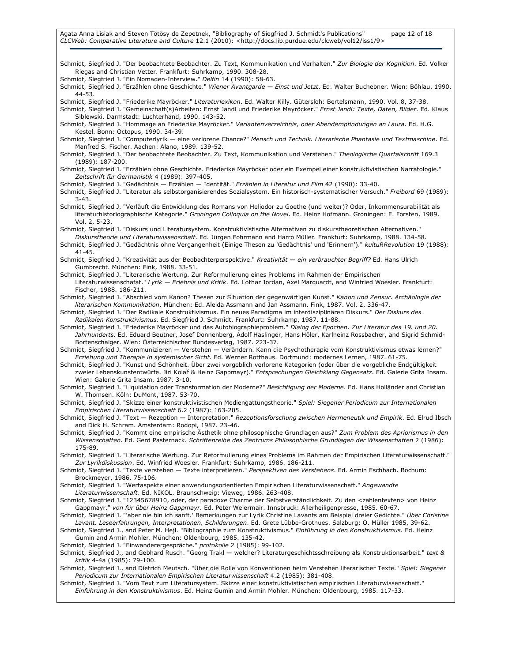Agata Anna Lisiak and Steven Tötösy de Zepetnek, "Bibliography of Siegfried J. Schmidt's Publications" page 12 of 18 CLCWeb: Comparative Literature and Culture 12.1 (2010): <http://docs.lib.purdue.edu/clcweb/vol12/iss1/9>

Schmidt, Siegfried J. "Der beobachtete Beobachter. Zu Text, Kommunikation und Verhalten." Zur Biologie der Kognition. Ed. Volker Riegas and Christian Vetter. Frankfurt: Suhrkamp, 1990. 308-28.

Schmidt, Siegfried J. "Ein Nomaden-Interview." Delfin 14 (1990): 58-63.

Schmidt, Siegfried J. "Erzählen ohne Geschichte." Wiener Avantgarde - Einst und Jetzt. Ed. Walter Buchebner. Wien: Böhlau, 1990. 44-53.

Schmidt, Siegfried J. "Friederike Mayröcker." Literaturlexikon. Ed. Walter Killy. Gütersloh: Bertelsmann, 1990. Vol. 8, 37-38.

Schmidt, Siegfried J. "Gemeinschaft(s)Arbeiten: Ernst Jandl und Friederike Mayröcker." Ernst Jandl: Texte, Daten, Bilder. Ed. Klaus Siblewski. Darmstadt: Luchterhand, 1990. 143-52.

Schmidt, Siegfried J. "Hommage an Friederike Mayröcker." Variantenverzeichnis, oder Abendempfindungen an Laura. Ed. H.G. Kestel. Bonn: Octopus, 1990. 34-39.

Schmidt, Siegfried J. "Computerlyrik — eine verlorene Chance?" Mensch und Technik. Literarische Phantasie und Textmaschine. Ed. Manfred S. Fischer. Aachen: Alano, 1989. 139-52.

Schmidt, Siegfried J. "Der beobachtete Beobachter. Zu Text, Kommunikation und Verstehen." Theologische Quartalschrift 169.3 (1989): 187-200.

Schmidt, Siegfried J. "Erzählen ohne Geschichte. Friederike Mayröcker oder ein Exempel einer konstruktivistischen Narratologie." Zeitschrift für Germanistik 4 (1989): 397-405.

Schmidt, Siegfried J. "Gedächtnis — Erzählen — Identität." Erzählen in Literatur und Film 42 (1990): 33-40.

Schmidt, Siegfried J. "Literatur als selbstorganisierendes Sozialsystem. Ein historisch-systematischer Versuch." Freibord 69 (1989): 3-43.

Schmidt, Siegfried J. "Verläuft die Entwicklung des Romans von Heliodor zu Goethe (und weiter)? Oder, Inkommensurabilität als literaturhistoriographische Kategorie." Groningen Colloquia on the Novel. Ed. Heinz Hofmann. Groningen: E. Forsten, 1989. Vol. 2, 5-23.

Schmidt, Siegfried J. "Diskurs und Literatursystem. Konstruktivistische Alternativen zu diskurstheoretischen Alternativen."

- Diskurstheorie und Literaturwissenschaft. Ed. Jürgen Fohrmann and Harro Müller. Frankfurt: Suhrkamp, 1988. 134-58. Schmidt, Siegfried J. "Gedächtnis ohne Vergangenheit (Einige Thesen zu 'Gedächtnis' und 'Erinnern')." kultuRRevolution 19 (1988): 41-45.
- Schmidt, Siegfried J. "Kreativität aus der Beobachterperspektive." Kreativität ein verbrauchter Begriff? Ed. Hans Ulrich Gumbrecht. München: Fink, 1988. 33-51.

Schmidt, Siegfried J. "Literarische Wertung. Zur Reformulierung eines Problems im Rahmen der Empirischen Literaturwissenschafat." Lyrik - Erlebnis und Kritik. Ed. Lothar Jordan, Axel Marquardt, and Winfried Woesler. Frankfurt: Fischer, 1988. 186-211.

Schmidt, Siegfried J. "Abschied vom Kanon? Thesen zur Situation der gegenwärtigen Kunst." Kanon und Zensur. Archäologie der literarischen Kommunikation. München: Ed. Aleida Assmann and Jan Assmann. Fink, 1987. Vol. 2, 336-47.

Schmidt, Siegfried J. "Der Radikale Konstruktivismus. Ein neues Paradigma im interdisziplinären Diskurs." Der Diskurs des Radikalen Konstruktivismus. Ed. Siegfried J. Schmidt. Frankfurt: Suhrkamp, 1987. 11-88.

Schmidt, Siegfried J. "Friederike Mayröcker und das Autobiographieproblem." Dialog der Epochen. Zur Literatur des 19. und 20. Jahrhunderts. Ed. Eduard Beutner, Josef Donnenberg, Adolf Haslinger, Hans Höler, Karlheinz Rossbacher, and Sigrid Schmid-Bortenschalger. Wien: Österreichischer Bundesverlag, 1987. 223-37.

Schmidt, Siegfried J. "Kommunizieren — Verstehen — Verändern. Kann die Psychotherapie vom Konstruktivismus etwas lernen?" Erziehung und Therapie in systemischer Sicht. Ed. Werner Rotthaus. Dortmund: modernes Lernen, 1987. 61-75.

Schmidt, Siegfried J. "Kunst und Schönheit. Über zwei vorgeblich verlorene Kategorien (oder über die vorgebliche Endgültigkeit zweier Lebenskunstentwürfe. Jiri Kolař & Heinz Gappmayr)." Entsprechungen Gleichklang Gegensatz. Ed. Galerie Grita Insam. Wien: Galerie Grita Insam, 1987. 3-10.

Schmidt, Siegfried J. "Liquidation oder Transformation der Moderne?" Besichtigung der Moderne. Ed. Hans Holländer and Christian W. Thomsen. Köln: DuMont, 1987. 53-70.

Schmidt, Siegfried J. "Skizze einer konstruktivistischen Mediengattungstheorie." Spiel: Siegener Periodicum zur Internationalen Empirischen Literaturwissenschaft 6.2 (1987): 163-205.

Schmidt, Siegfried J. "Text — Rezeption — Interpretation." Rezeptionsforschung zwischen Hermeneutik und Empirik. Ed. Elrud Ibsch and Dick H. Schram. Amsterdam: Rodopi, 1987. 23-46.

Schmidt, Siegfried J. "Kommt eine empirische Ästhetik ohne philosophische Grundlagen aus?" Zum Problem des Apriorismus in den Wissenschaften. Ed. Gerd Pasternack. Schriftenreihe des Zentrums Philosophische Grundlagen der Wissenschaften 2 (1986): 175-89.

Schmidt, Siegfried J. "Literarische Wertung. Zur Reformulierung eines Problems im Rahmen der Empirischen Literaturwissenschaft." Zur Lyrikdiskussion. Ed. Winfried Woesler. Frankfurt: Suhrkamp, 1986. 186-211.

Schmidt, Siegfried J. "Texte verstehen - Texte interpretieren." Perspektiven des Verstehens. Ed. Armin Eschbach. Bochum: Brockmeyer, 1986. 75-106.

Schmidt, Siegfried J. "Wertaspekte einer anwendungsorientierten Empirischen Literaturwissenschaft." Angewandte Literaturwissenschaft. Ed. NIKOL. Braunschweig: Vieweg, 1986. 263-408.

Schmidt, Siegfried J. "12345678910, oder, der paradoxe Charme der Selbstverständlichkeit. Zu den <zahlentexten> von Heinz Gappmayr." von für über Heinz Gappmayr. Ed. Peter Weiermair. Innsbruck: Allerheiligenpresse, 1985. 60-67.

Schmidt, Siegfried J. "'aber nie bin ich sanft.' Bemerkungen zur Lyrik Christine Lavants am Beispiel dreier Gedichte." Über Christine Lavant. Leseerfahrungen, Interpretationen, Schilderungen. Ed. Grete Lübbe-Grothues. Salzburg: O. Müller 1985, 39-62.

Schmidt, Siegfried J., and Peter M. Hejl. "Bibliographie zum Konstruktivismus." Einführung in den Konstruktivismus. Ed. Heinz Gumin and Armin Mohler. München: Oldenbourg, 1985. 135-42.

Schmidt, Siegfried J. "Einwanderergespräche." protokolle 2 (1985): 99-102.

Schmidt, Siegfried J., and Gebhard Rusch. "Georg Trakl — welcher? Literaturgeschichtsschreibung als Konstruktionsarbeit." text & kritik 4-4a (1985): 79-100.

Schmidt, Siegfried J., and Dietrich Meutsch. "Über die Rolle von Konventionen beim Verstehen literarischer Texte." Spiel: Siegener Periodicum zur Internationalen Empirischen Literaturwissenschaft 4.2 (1985): 381-408.

Schmidt, Siegfried J. "Vom Text zum Literatursystem. Skizze einer konstruktivistischen empirischen Literaturwissenschaft." Einführung in den Konstruktivismus. Ed. Heinz Gumin and Armin Mohler. München: Oldenbourg, 1985. 117-33.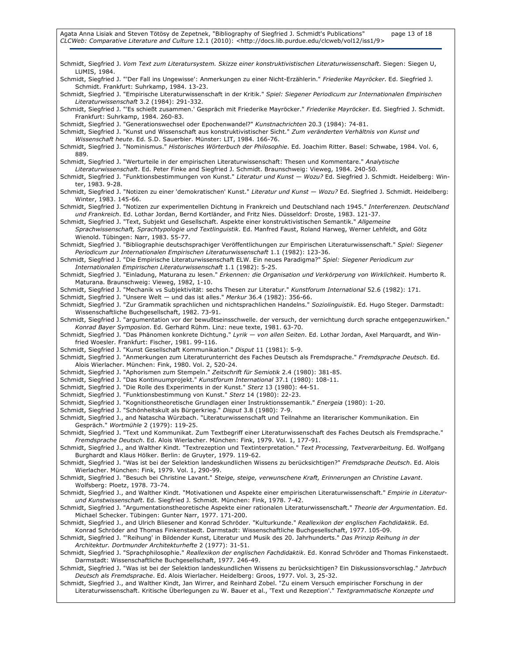Schmidt, Siegfried J. Vom Text zum Literatursystem. Skizze einer konstruktivistischen Literaturwissenschaft. Siegen: Siegen U, LUMIS, 1984. Schmidt, Siegfried J. "'Der Fall ins Ungewisse': Anmerkungen zu einer Nicht-Erzählerin." Friederike Mayröcker. Ed. Siegfried J. Schmidt. Frankfurt: Suhrkamp, 1984. 13-23. Schmidt, Siegfried J. "Empirische Literaturwissenschaft in der Kritik." Spiel: Siegener Periodicum zur Internationalen Empirischen Literaturwissenschaft 3.2 (1984): 291-332. Schmidt, Siegfried J. "'Es schießt zusammen.' Gespräch mit Friederike Mayröcker." Friederike Mayröcker. Ed. Siegfried J. Schmidt. Frankfurt: Suhrkamp, 1984. 260-83. Schmidt, Siegfried J. "Generationswechsel oder Epochenwandel?" Kunstnachrichten 20.3 (1984): 74-81. Schmidt, Siegfried J. "Kunst und Wissenschaft aus konstruktivistischer Sicht." Zum veränderten Verhältnis von Kunst und Wissenschaft heute. Ed. S.D. Sauerbier. Münster: LIT, 1984. 166-76. Schmidt, Siegfried J. "Nominismus." Historisches Wörterbuch der Philosophie. Ed. Joachim Ritter. Basel: Schwabe, 1984. Vol. 6, 889. Schmidt, Siegfried J. "Werturteile in der empirischen Literaturwissenschaft: Thesen und Kommentare." Analytische Literaturwissenschaft. Ed. Peter Finke and Siegfried J. Schmidt. Braunschweig: Vieweg, 1984. 240-50. Schmidt, Siegfried J. "Funktionsbestimmungen von Kunst." Literatur und Kunst — Wozu? Ed. Siegfried J. Schmidt. Heidelberg: Winter, 1983. 9-28. Schmidt, Siegfried J. "Notizen zu einer 'demokratischen' Kunst." Literatur und Kunst - Wozu? Ed. Siegfried J. Schmidt. Heidelberg: Winter, 1983. 145-66. Schmidt, Siegfried J. "Notizen zur experimentellen Dichtung in Frankreich und Deutschland nach 1945." Interferenzen. Deutschland und Frankreich. Ed. Lothar Jordan, Bernd Kortländer, and Fritz Nies. Düsseldorf: Droste, 1983. 121-37. Schmidt, Siegfried J. "Text, Subjekt und Gesellschaft. Aspekte einer konstruktivistischen Semantik." Allgemeine Sprachwissenschaft, Sprachtypologie und Textlinguistik. Ed. Manfred Faust, Roland Harweg, Werner Lehfeldt, and Götz Wienold. Tübingen: Narr, 1983. 55-77. Schmidt, Siegfried J. "Bibliographie deutschsprachiger Veröffentlichungen zur Empirischen Literaturwissenschaft." Spiel: Siegener Periodicum zur Internationalen Empirischen Literaturwissenschaft 1.1 (1982): 123-36. Schmidt, Siegfried J. "Die Empirische Literaturwissenschaft ELW. Ein neues Paradigma?" Spiel: Siegener Periodicum zur Internationalen Empirischen Literaturwissenschaft 1.1 (1982): 5-25. Schmidt, Siegfried J. "Einladung, Maturana zu lesen." Erkennen: die Organisation und Verkörperung von Wirklichkeit. Humberto R. Maturana. Braunschweig: Vieweg, 1982, 1-10. Schmidt, Siegfried J. "Mechanik vs Subjektivität: sechs Thesen zur Literatur." Kunstforum International 52.6 (1982): 171. Schmidt, Siegfried J. "Unsere Welt — und das ist alles." Merkur 36.4 (1982): 356-66. Schmidt, Siegfried J. "Zur Grammatik sprachlichen und nichtsprachlichen Handelns." Soziolinguistik. Ed. Hugo Steger. Darmstadt: Wissenschaftliche Buchgesellschaft, 1982. 73-91. Schmidt, Siegfried J. "argumentation vor der bewußtseinsschwelle. der versuch, der vernichtung durch sprache entgegenzuwirken." Konrad Bayer Symposion. Ed. Gerhard Rühm. Linz: neue texte, 1981. 63-70. Schmidt, Siegfried J. "Das Phänomen konkrete Dichtung." Lyrik - von allen Seiten. Ed. Lothar Jordan, Axel Marquardt, and Winfried Woesler. Frankfurt: Fischer, 1981. 99-116. Schmidt, Siegfried J. "Kunst Gesellschaft Kommunikation." Disput 11 (1981): 5-9. Schmidt, Siegfried J. "Anmerkungen zum Literaturunterricht des Faches Deutsch als Fremdsprache." Fremdsprache Deutsch. Ed. Alois Wierlacher. München: Fink, 1980. Vol. 2, 520-24. Schmidt, Siegfried J. "Aphorismen zum Stempeln." Zeitschrift für Semiotik 2.4 (1980): 381-85. Schmidt, Siegfried J. "Das Kontinuumprojekt." Kunstforum International 37.1 (1980): 108-11. Schmidt, Siegfried J. "Die Rolle des Experiments in der Kunst." Sterz 13 (1980): 44-51. Schmidt, Siegfried J. "Funktionsbestimmung von Kunst." Sterz 14 (1980): 22-23. Schmidt, Siegfried J. "Kognitionstheoretische Grundlagen einer Instruktionssemantik." Energeia (1980): 1-20. Schmidt, Siegfried J. "Schönheitskult als Bürgerkrieg." Disput 3.8 (1980): 7-9. Schmidt, Siegfried J., and Natascha Würzbach. "Literaturwissenschaft und Teilnahme an literarischer Kommunikation. Ein Gespräch." Wortmühle 2 (1979): 119-25. Schmidt, Siegfried J. "Text und Kommunikat. Zum Textbegriff einer Literaturwissenschaft des Faches Deutsch als Fremdsprache." Fremdsprache Deutsch. Ed. Alois Wierlacher. München: Fink, 1979. Vol. 1, 177-91. Schmidt, Siegfried J., and Walther Kindt. "Textrezeption und Textinterpretation." Text Processing, Textverarbeitung. Ed. Wolfgang Burghardt and Klaus Hölker. Berlin: de Gruyter, 1979. 119-62. Schmidt, Siegfried J. "Was ist bei der Selektion landeskundlichen Wissens zu berücksichtigen?" Fremdsprache Deutsch. Ed. Alois Wierlacher. München: Fink, 1979. Vol. 1, 290-99. Schmidt, Siegfried J. "Besuch bei Christine Lavant." Steige, steige, verwunschene Kraft, Erinnerungen an Christine Lavant. Wolfsberg: Ploetz, 1978. 73-74. Schmidt, Siegfried J., and Walther Kindt. "Motivationen und Aspekte einer empirischen Literaturwissenschaft." Empirie in Literaturund Kunstwissenschaft. Ed. Siegfried J. Schmidt. München: Fink, 1978. 7-42. Schmidt, Siegfried J. "Argumentationstheoretische Aspekte einer rationalen Literaturwissenschaft." Theorie der Argumentation. Ed. Michael Schecker. Tübingen: Gunter Narr, 1977. 171-200. Schmidt, Siegfried J., and Ulrich Bliesener and Konrad Schröder. "Kulturkunde." Reallexikon der englischen Fachdidaktik. Ed. Konrad Schröder and Thomas Finkenstaedt. Darmstadt: Wissenschaftliche Buchgesellschaft, 1977. 105-09. Schmidt, Siegfried J. "'Reihung' in Bildender Kunst, Literatur und Musik des 20. Jahrhunderts." Das Prinzip Reihung in der Architektur. Dortmunder Architekturhefte 2 (1977): 31-51. Schmidt, Siegfried J. "Sprachphilosophie." Reallexikon der englischen Fachdidaktik. Ed. Konrad Schröder and Thomas Finkenstaedt. Darmstadt: Wissenschaftliche Buchgesellschaft, 1977. 246-49. Schmidt, Siegfried J. "Was ist bei der Selektion landeskundlichen Wissens zu berücksichtigen? Ein Diskussionsvorschlag." Jahrbuch Deutsch als Fremdsprache. Ed. Alois Wierlacher. Heidelberg: Groos, 1977. Vol. 3, 25-32. Schmidt, Siegfried J., and Walther Kindt, Jan Wirrer, and Reinhard Zobel. "Zu einem Versuch empirischer Forschung in der Literaturwissenschaft. Kritische Überlegungen zu W. Bauer et al., 'Text und Rezeption'." Textgrammatische Konzepte und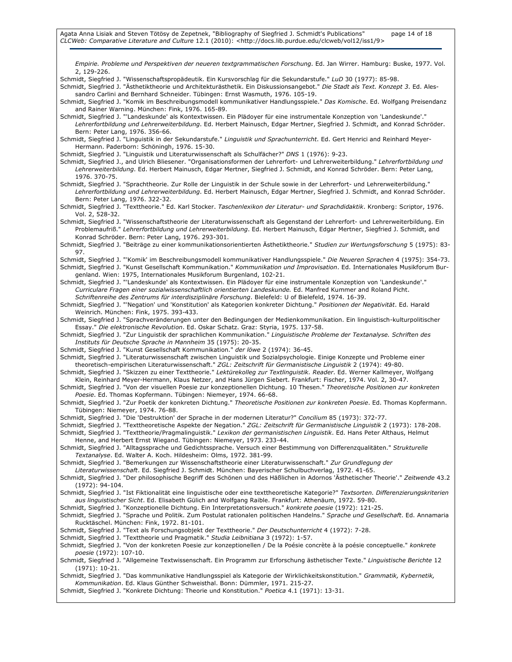Empirie. Probleme und Perspektiven der neueren textgrammatischen Forschung. Ed. Jan Wirrer. Hamburg: Buske, 1977. Vol. 2, 129-226.

Schmidt, Siegfried J. "Wissenschaftspropädeutik. Ein Kursvorschlag für die Sekundarstufe." LuD 30 (1977): 85-98.

- Schmidt, Siegfried J. "Ästhetiktheorie und Architekturästhetik. Ein Diskussionsangebot." Die Stadt als Text. Konzept 3. Ed. Alessandro Carlini and Bernhard Schneider. Tübingen: Ernst Wasmuth, 1976. 105-19.
- Schmidt, Siegfried J. "Komik im Beschreibungsmodell kommunikativer Handlungsspiele." Das Komische. Ed. Wolfgang Preisendanz and Rainer Warning. München: Fink, 1976. 165-89.
- Schmidt, Siegfried J. "'Landeskunde' als Kontextwissen. Ein Plädoyer für eine instrumentale Konzeption von 'Landeskunde'." Lehrerfortbildung und Lehrerweiterbildung. Ed. Herbert Mainusch, Edgar Mertner, Siegfried J. Schmidt, and Konrad Schröder. Bern: Peter Lang, 1976. 356-66.
- Schmidt, Siegfried J. "Linguistik in der Sekundarstufe." Linguistik und Sprachunterricht. Ed. Gert Henrici and Reinhard Meyer-Hermann. Paderborn: Schöningh, 1976. 15-30.

Schmidt, Siegfried J. "Linguistik und Literaturwissenschaft als Schulfächer?" DNS 1 (1976): 9-23.

- Schmidt, Siegfried J., and Ulrich Bliesener. "Organisationsformen der Lehrerfort- und Lehrerweiterbildung." Lehrerfortbildung und Lehrerweiterbildung. Ed. Herbert Mainusch, Edgar Mertner, Siegfried J. Schmidt, and Konrad Schröder. Bern: Peter Lang, 1976. 370-75.
- Schmidt, Siegfried J. "Sprachtheorie. Zur Rolle der Linguistik in der Schule sowie in der Lehrerfort- und Lehrerweiterbildung." Lehrerfortbildung und Lehrerweiterbildung. Ed. Herbert Mainusch, Edgar Mertner, Siegfried J. Schmidt, and Konrad Schröder. Bern: Peter Lang, 1976. 322-32.
- Schmidt, Siegfried J. "Texttheorie." Ed. Karl Stocker. Taschenlexikon der Literatur- und Sprachdidaktik. Kronberg: Scriptor, 1976. Vol. 2, 528-32.
- Schmidt, Siegfried J. "Wissenschaftstheorie der Literaturwissenschaft als Gegenstand der Lehrerfort- und Lehrerweiterbildung. Ein Problemaufriß." Lehrerfortbildung und Lehrerweiterbildung. Ed. Herbert Mainusch, Edgar Mertner, Siegfried J. Schmidt, and Konrad Schröder. Bern: Peter Lang, 1976. 293-301.
- Schmidt, Siegfried J. "Beiträge zu einer kommunikationsorientierten Ästhetiktheorie." Studien zur Wertungsforschung 5 (1975): 83- 97.
- Schmidt, Siegfried J. "'Komik' im Beschreibungsmodell kommunikativer Handlungsspiele." Die Neueren Sprachen 4 (1975): 354-73. Schmidt, Siegfried J. "Kunst Gesellschaft Kommunikation." Kommunikation und Improvisation. Ed. Internationales Musikforum Burgenland. Wien: 1975, Internationales Musikforum Burgenland, 102-21.
- Schmidt, Siegfried J. "'Landeskunde' als Kontextwissen. Ein Plädoyer für eine instrumentale Konzeption von 'Landeskunde'." Curriculare Fragen einer sozialwissenschaftlich orientierten Landeskunde. Ed. Manfred Kummer and Roland Picht. Schriftenreihe des Zentrums für interdisziplinäre Forschung. Bielefeld: U of Bielefeld, 1974. 16-39.
- Schmidt, Siegfried J. "'Negation' und 'Konstitution' als Kategorien konkreter Dichtung." Positionen der Negativität. Ed. Harald Weinrich. München: Fink, 1975. 393-433.
- Schmidt, Siegfried J. "Sprachveränderungen unter den Bedingungen der Medienkommunikation. Ein linguistisch-kulturpolitischer Essay." Die elektronische Revolution. Ed. Oskar Schatz. Graz: Styria, 1975. 137-58.
- Schmidt, Siegfried J. "Zur Linguistik der sprachlichen Kommunikation." Linguistische Probleme der Textanalyse. Schriften des Instituts für Deutsche Sprache in Mannheim 35 (1975): 20-35.
- Schmidt, Siegfried J. "Kunst Gesellschaft Kommunikation." der löwe 2 (1974): 36-45.
- Schmidt, Siegfried J. "Literaturwissenschaft zwischen Linguistik und Sozialpsychologie. Einige Konzepte und Probleme einer theoretisch-empirischen Literaturwissenschaft." ZGL: Zeitschrift für Germanistische Linguistik 2 (1974): 49-80.
- Schmidt, Siegfried J. "Skizzen zu einer Texttheorie." Lektürekolleg zur Textlinguistik. Reader. Ed. Werner Kallmeyer, Wolfgang Klein, Reinhard Meyer-Hermann, Klaus Netzer, and Hans Jürgen Siebert. Frankfurt: Fischer, 1974. Vol. 2, 30-47.
- Schmidt, Siegfried J. "Von der visuellen Poesie zur konzeptionellen Dichtung. 10 Thesen." Theoretische Positionen zur konkreten Poesie. Ed. Thomas Kopfermann. Tübingen: Niemeyer, 1974. 66-68.
- Schmidt, Siegfried J. "Zur Poetik der konkreten Dichtung." Theoretische Positionen zur konkreten Poesie. Ed. Thomas Kopfermann. Tübingen: Niemeyer, 1974. 76-88.
- Schmidt, Siegfried J. "Die 'Destruktion' der Sprache in der modernen Literatur?" Concilium 85 (1973): 372-77.
- Schmidt, Siegfried J. "Texttheoretische Aspekte der Negation." ZGL: Zeitschrift für Germanistische Linguistik 2 (1973): 178-208.
- Schmidt, Siegfried J. "Texttheorie/Pragmalinguistik." Lexikon der germanistischen Linguistik. Ed. Hans Peter Althaus, Helmut Henne, and Herbert Ernst Wiegand. Tübingen: Niemeyer, 1973. 233-44.
- Schmidt, Siegfried J. "Alltagssprache und Gedichtssprache. Versuch einer Bestimmung von Differenzqualitäten." Strukturelle Textanalyse. Ed. Walter A. Koch. Hildesheim: Olms, 1972. 381-99.
- Schmidt, Siegfried J. "Bemerkungen zur Wissenschaftstheorie einer Literaturwissenschaft." Zur Grundlegung der
- Literaturwissenschaft. Ed. Siegfried J. Schmidt. München: Bayerischer Schulbuchverlag, 1972. 41-65.
- Schmidt, Siegfried J. "Der philosophische Begriff des Schönen und des Häßlichen in Adornos 'Ästhetischer Theorie'." Zeitwende 43.2 (1972): 94-104.
- Schmidt, Siegfried J. "Ist Fiktionalität eine linguistische oder eine texttheoretische Kategorie?" Textsorten. Differenzierungskriterien aus linguistischer Sicht. Ed. Elisabeth Gülich and Wolfgang Raible. Frankfurt: Athenäum, 1972. 59-80.
- Schmidt, Siegfried J. "Konzeptionelle Dichtung. Ein Interpretationsversuch." konkrete poesie (1972): 121-25.
- Schmidt, Siegfried J. "Sprache und Politik. Zum Postulat rationalen politischen Handelns." Sprache und Gesellschaft. Ed. Annamaria Rucktäschel. München: Fink, 1972. 81-101.
- Schmidt, Siegfried J. "Text als Forschungsobjekt der Texttheorie." Der Deutschunterricht 4 (1972): 7-28.
- Schmidt, Siegfried J. "Texttheorie und Pragmatik." Studia Leibnitiana 3 (1972): 1-57.
- Schmidt, Siegfried J. "Von der konkreten Poesie zur konzeptionellen / De la Poésie concrète à la poésie conceptuelle." konkrete poesie (1972): 107-10.
- Schmidt, Siegfried J. "Allgemeine Textwissenschaft. Ein Programm zur Erforschung ästhetischer Texte." Linguistische Berichte 12 (1971): 10-21.
- Schmidt, Siegfried J. "Das kommunikative Handlungsspiel als Kategorie der Wirklichkeitskonstitution." Grammatik, Kybernetik, Kommunikation. Ed. Klaus Günther Schweisthal. Bonn: Dümmler, 1971. 215-27.
- Schmidt, Siegfried J. "Konkrete Dichtung: Theorie und Konstitution." Poetica 4.1 (1971): 13-31.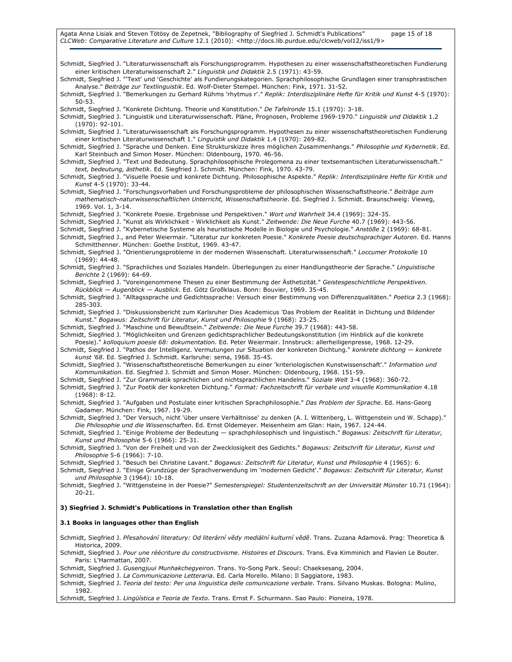Agata Anna Lisiak and Steven Tötösy de Zepetnek, "Bibliography of Siegfried J. Schmidt's Publications" page 15 of 18 CLCWeb: Comparative Literature and Culture 12.1 (2010): <http://docs.lib.purdue.edu/clcweb/vol12/iss1/9>

Schmidt, Siegfried J. "Literaturwissenschaft als Forschungsprogramm. Hypothesen zu einer wissenschaftstheoretischen Fundierung einer kritischen Literaturwissenschaft 2." Linguistik und Didaktik 2.5 (1971): 43-59. Schmidt, Siegfried J. "'Text' und 'Geschichte' als Fundierungskategorien. Sprachphilosophische Grundlagen einer transphrastischen Analyse." Beiträge zur Textlinguistik. Ed. Wolf-Dieter Stempel. München: Fink, 1971. 31-52. Schmidt, Siegfried J. "Bemerkungen zu Gerhard Rühms 'rhytmus r'." Replik: Interdisziplinäre Hefte für Kritik und Kunst 4-5 (1970): 50-53. Schmidt, Siegfried J. "Konkrete Dichtung. Theorie und Konstitution." De Tafelronde 15.1 (1970): 3-18. Schmidt, Siegfried J. "Linguistik und Literaturwissenschaft. Pläne, Prognosen, Probleme 1969-1970." Linguistik und Didaktik 1.2 (1970): 92-101. Schmidt, Siegfried J. "Literaturwissenschaft als Forschungsprogramm. Hypothesen zu einer wissenschaftstheoretischen Fundierung einer kritischen Literaturwissenschaft 1." Linguistik und Didaktik 1.4 (1970): 269-82. Schmidt, Siegfried J. "Sprache und Denken. Eine Strukturskizze ihres möglichen Zusammenhangs." Philosophie und Kybernetik. Ed. Karl Steinbuch and Simon Moser. München: Oldenbourg, 1970. 46-56. Schmidt, Siegfried J. "Text und Bedeutung. Sprachphilosophische Prolegomena zu einer textsemantischen Literaturwissenschaft." text, bedeutung, ästhetik. Ed. Siegfried J. Schmidt. München: Fink, 1970. 43-79. Schmidt, Siegfried J. "Visuelle Poesie und konkrete Dichtung. Philosophische Aspekte." Replik: Interdisziplinäre Hefte für Kritik und Kunst 4-5 (1970): 33-44. Schmidt, Siegfried J. "Forschungsvorhaben und Forschungsprobleme der philosophischen Wissenschaftstheorie." Beiträge zum mathematisch-naturwissenschaftlichen Unterricht, Wissenschaftstheorie. Ed. Siegfried J. Schmidt. Braunschweig: Vieweg, 1969. Vol. 1, 3-14. Schmidt, Siegfried J. "Konkrete Poesie. Ergebnisse und Perspektiven." Wort und Wahrheit 34.4 (1969): 324-35. Schmidt, Siegfried J. "Kunst als Wirklichkeit - Wirklichkeit als Kunst." Zeitwende: Die Neue Furche 40.7 (1969): 443-56. Schmidt, Siegfried J. "Kybernetische Systeme als heuristische Modelle in Biologie und Psychologie." Anstöße 2 (1969): 68-81. Schmidt, Siegfried J., and Peter Weiermair. "Literatur zur konkreten Poesie." Konkrete Poesie deutschsprachiger Autoren. Ed. Hanns Schmitthenner. München: Goethe Institut, 1969. 43-47. Schmidt, Siegfried J. "Orientierungsprobleme in der modernen Wissenschaft. Literaturwissenschaft." Loccumer Protokolle 10 (1969): 44-48. Schmidt, Siegfried J. "Sprachliches und Soziales Handeln. Überlegungen zu einer Handlungstheorie der Sprache." Linguistische Berichte 2 (1969): 64-69. Schmidt, Siegfried J. "Voreingenommene Thesen zu einer Bestimmung der Ästhetizität." Geistesgeschichtliche Perspektiven. Rückblick — Augenblick — Ausblick. Ed. Götz Großklaus. Bonn: Bouvier, 1969. 35-45. Schmidt, Siegfried J. "Alltagssprache und Gedichtssprache: Versuch einer Bestimmung von Differenzqualitäten." Poetica 2.3 (1968): 285-303. Schmidt, Siegfried J. "Diskussionsbericht zum Karlsruher Dies Academicus 'Das Problem der Realität in Dichtung und Bildender Kunst." Bogawus: Zeitschrift für Literatur, Kunst und Philosophie 9 (1968): 23-25. Schmidt, Siegfried J. "Maschine und Bewußtsein." Zeitwende: Die Neue Furche 39.7 (1968): 443-58. Schmidt, Siegfried J. "Möglichkeiten und Grenzen gedichtsprachlicher Bedeutungskonstitution (im Hinblick auf die konkrete Poesie)." kolloquium poesie 68: dokumentation. Ed. Peter Weiermair. Innsbruck: allerheiligenpresse, 1968. 12-29. Schmidt, Siegfried J. "Pathos der Intelligenz. Vermutungen zur Situation der konkreten Dichtung." konkrete dichtung - konkrete kunst '68. Ed. Siegfried J. Schmidt. Karlsruhe: sema, 1968. 35-45. Schmidt, Siegfried J. "Wissenschaftstheoretische Bemerkungen zu einer 'kriteriologischen Kunstwissenschaft'." Information und Kommunikation. Ed. Siegfried J. Schmidt and Simon Moser. München: Oldenbourg, 1968. 151-59. Schmidt, Siegfried J. "Zur Grammatik sprachlichen und nichtsprachlichen Handelns." Soziale Welt 3-4 (1968): 360-72. Schmidt, Siegfried J. "Zur Poetik der konkreten Dichtung." Format: Fachzeitschrift für verbale und visuelle Kommunikation 4.18 (1968): 8-12. Schmidt, Siegfried J. "Aufgaben und Postulate einer kritischen Sprachphilosophie." Das Problem der Sprache. Ed. Hans-Georg Gadamer. München: Fink, 1967. 19-29. Schmidt, Siegfried J. "Der Versuch, nicht 'über unsere Verhältnisse' zu denken (A. I. Wittenberg, L. Wittgenstein und W. Schapp)." Die Philosophie und die Wissenschaften. Ed. Ernst Oldemeyer. Meisenheim am Glan: Hain, 1967. 124-44. Schmidt, Siegfried J. "Einige Probleme der Bedeutung — sprachphilosophisch und linguistisch." Bogawus: Zeitschrift für Literatur, Kunst und Philosophie 5-6 (1966): 25-31. Schmidt, Siegfried J. "Von der Freiheit und von der Zwecklosigkeit des Gedichts." Bogawus: Zeitschrift für Literatur, Kunst und Philosophie 5-6 (1966): 7-10. Schmidt, Siegfried J. "Besuch bei Christine Lavant." Bogawus: Zeitschrift für Literatur, Kunst und Philosophie 4 (1965): 6. Schmidt, Siegfried J. "Einige Grundzüge der Sprachverwendung im 'modernen Gedicht'." Bogawus: Zeitschrift für Literatur, Kunst und Philosophie 3 (1964): 10-18. Schmidt, Siegfried J. "Wittgensteine in der Poesie?" Semesterspiegel: Studentenzeitschrift an der Universität Münster 10.71 (1964): 20-21. 3) Siegfried J. Schmidt's Publications in Translation other than English 3.1 Books in languages other than English Schmidt, Siegfried J. Přesahování literatury: Od literární vědy mediální kulturní vědě. Trans. Zuzana Adamová. Prag: Theoretica &

Historica, 2009.

Schmidt, Siegfried J. Pour une réécriture du constructivisme. Histoires et Discours. Trans. Eva Kimminich and Flavien Le Bouter. Paris: L'Harmattan, 2007.

Schmidt, Siegfried J. Gusengjuui Munhakchegyeiron. Trans. Yo-Song Park. Seoul: Chaeksesang, 2004.

Schmidt, Siegfried J. La Communicazione Letteraria. Ed. Carla Morello. Milano: Il Saggiatore, 1983. Schmidt, Siegfried J. Teoria del testo: Per una linguistica delle comunicazione verbale. Trans. Silvano Muskas. Bologna: Mulino, 1982.

Schmidt, Siegfried J. Lingüística e Teoria de Texto. Trans. Ernst F. Schurmann. Sao Paulo: Pioneira, 1978.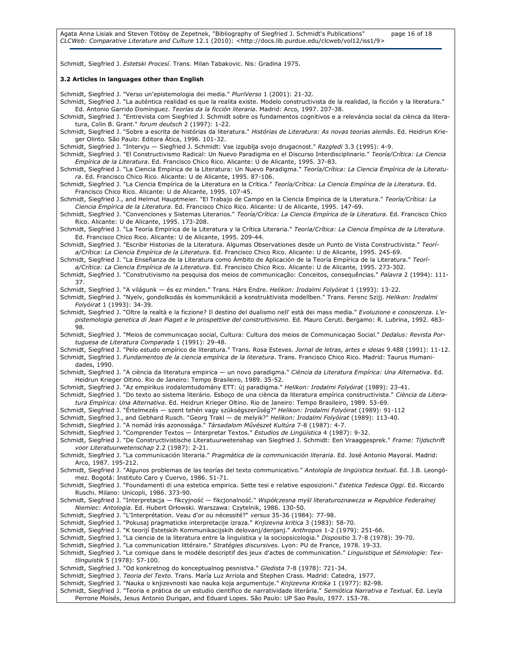Agata Anna Lisiak and Steven Tötösy de Zepetnek, "Bibliography of Siegfried J. Schmidt's Publications" page 16 of 18 CLCWeb: Comparative Literature and Culture 12.1 (2010): <http://docs.lib.purdue.edu/clcweb/vol12/iss1/9>

Schmidt, Siegfried J. Estetski Procesí. Trans. Milan Tabakovic. Nis: Gradina 1975.

#### 3.2 Articles in languages other than English

Schmidt, Siegfried J. "Verso un'epistemologia dei media." PluriVerso 1 (2001): 21-32.

- Schmidt, Siegfried J. "La auténtica realidad es que la realita existe. Modelo constructivista de la realidad, la ficción y la literatura." Ed. Antonio Garrido Domínguez. Teorías da la ficción literaria. Madrid: Arco, 1997. 207-38.
- Schmidt, Siegfried J. "Entrevista com Siegfried J. Schmidt sobre os fundamentos cognitivos e a releváncia social da ciènca da literatura, Colin B. Grant." forum deutsch 2 (1997): 1-22.
- Schmidt, Siegfried J. "Sobre a escrita de histórias da literatura." Histórias de Literatura: As novas teorias alemãs. Ed. Heidrun Krieger Olinto. São Paulo: Editora Ática, 1996. 101-32.

Schmidt, Siegfried J. "Intervju — Siegfried J. Schmidt: Vse izgublja svojo drugacnost." Razgledi 3.3 (1995): 4-9.

- Schmidt, Siegfried J. "El Constructivismo Radical: Un Nuevo Paradigma en el Discurso Interdisciplinario." Teoría/Crítica: La Ciencia Empírica de la Literatura. Ed. Francisco Chico Rico. Alicante: U de Alicante, 1995. 37-83.
- Schmidt, Siegfried J. "La Ciencia Empírica de la Literatura: Un Nuevo Paradigma." Teoría/Crítica: La Ciencia Empírica de la Literatura. Ed. Francisco Chico Rico. Alicante: U de Alicante, 1995. 87-106.
- Schmidt, Siegfried J. "La Ciencia Empírica de la Literatura en la Crítica." Teoría/Crítica: La Ciencia Empírica de la Literatura. Ed. Francisco Chico Rico. Alicante: U de Alicante, 1995. 107-45.
- Schmidt, Siegfried J., and Helmut Hauptmeier. "El Trabajo de Campo en la Ciencia Empírica de la Literatura." Teoría/Crítica: La Ciencia Empírica de la Literatura. Ed. Francisco Chico Rico. Alicante: U de Alicante, 1995. 147-69.
- Schmidt, Siegfried J. "Convenciones y Sistemas Literarios." Teoría/Crítica: La Ciencia Empírica de la Literatura. Ed. Francisco Chico Rico. Alicante: U de Alicante, 1995. 173-208.
- Schmidt, Siegfried J. "La Teoría Empírica de la Literatura y la Crítica Literaria." Teoría/Crítica: La Ciencia Empírica de la Literatura. Ed. Francisco Chico Rico. Alicante: U de Alicante, 1995. 209-44.
- Schmidt, Siegfried J. "Escribir Historias de la Literatura. Algumas Observationes desde un Punto de Vista Constructivista." Teoría/Crítica: La Ciencia Empírica de la Literatura. Ed. Francisco Chico Rico. Alicante: U de Alicante, 1995. 245-69.
- Schmidt, Siegfried J. "La Enseñanza de la Literatura como Ámbito de Aplicación de la Teoría Empírica de la Literatura." Teoría/Crítica: La Ciencia Empírica de la Literatura. Ed. Francisco Chico Rico. Alicante: U de Alicante, 1995. 273-302.
- Schmidt, Siegfried J. "Construtivismo na pesquisa dos meios de communicação: Conceitos, consequências." Palavra 2 (1994): 111-37.

Schmidt, Siegfried J. "A világunk — és ez minden." Trans. Hárs Endre. Helikon: Irodalmi Folyóirat 1 (1993): 13-22.

Schmidt, Siegfried J. "Nyelv, gondolkodás és kommunikáció a konstruktivista modellben." Trans. Ferenc Szijj. Helikon: Irodalmi Folyóirat 1 (1993): 34-39.

- Schmidt, Siegfried J. "Oltre la realtà e la ficzione? Il destino del dualismo nell' està dei mass media." Evoluzione e conoszenza. L'epistemologia genetica di Jean Piaget e le prospettive del construttivismo. Ed. Mauro Ceruti. Bergamo: R. Lubrina, 1992. 483- 98.
- Schmidt, Siegfried J. "Meios de communicaçao social, Cultura: Cultura dos meios de Communicaçao Social." Dedalus: Revista Portuguesa de Literatura Comparada 1 (1991): 29-48.

Schmidt, Siegfried J. "Pelo estudo empírico de literatura." Trans. Rosa Esteves. Jornal de letras, artes e ideias 9.488 (1991): 11-12. Schmidt, Siegfried J. Fundamentos de la ciencia empírica de la literatura. Trans. Francisco Chico Rico. Madrid: Taurus Humanidades, 1990.

Schmidt, Siegfried J. "A ciència da literatura empirica — un novo paradigma." Ciència da Literatura Empírica: Una Alternativa. Ed. Heidrun Krieger Oltino. Rio de Janeiro: Tempo Brasileiro, 1989. 35-52.

Schmidt, Siegfried J. "Az empirikus irodalomtudomány ETT: új paradigma." Helikon: Irodalmi Folyóirat (1989): 23-41.

- Schmidt, Siegfried J. "Do texto ao sistema literário. Esboço de una ciència da literatura empírica constructivista." Ciència da Literatura Empírica: Una Alternativa. Ed. Heidrun Krieger Oltino. Rio de Janeiro: Tempo Brasileiro, 1989. 53-69.
- Schmidt, Siegfried J. "Értelmezés szent tehén vagy szükségszerőség?" Helikon: Irodalmi Folyóirat (1989): 91-112
- Schmidt, Siegfried J., and Gebhard Rusch. "Georg Trakl de melyik?" Helikon: Irodalmi Folyóirat (1989): 113-40.
- Schmidt, Siegfried J. "A nomád írás azonossága." Társadalom Mővészet Kultúra 7-8 (1987): 4-7.
- Schmidt, Siegfried J. "Comprender Textos Interpretar Textos." Estudios de Lingüística 4 (1987): 9-32.
- Schmidt, Siegfried J. "De Constructivistische Literatuurwetenshap van Siegfried J. Schmidt: Een Vraaggesprek." Frame: Tijdschrift voor Literatuurwetenschap 2.2 (1987): 2-21.
- Schmidt, Siegfried J. "La communicación literaria." Pragmática de la communicación literaria. Ed. José Antonio Mayoral. Madrid: Arco, 1987. 195-212.

Schmidt, Siegfried J. "Algunos problemas de las teorías del texto communicativo." Antología de lingüistica textual. Ed. J.B. Leongómez. Bogotá: Instituto Caro y Cuervo, 1986. 51-71.

Schmidt, Siegfried J. "Foundamenti di una estetica empirica. Sette tesi e relative esposizioni." Estetica Tedesca Oggi. Ed. Riccardo Ruschi. Milano: Unicopli, 1986. 373-90.

Schmidt, Siegfried J. "Interpretacja — fikcyjność — fikcjonalność." Współczesna myśl literaturoznawcza w Republice Federalnej Niemiec: Antologia. Ed. Hubert Orłowski. Warszawa: Czytelnik, 1986. 130-50.

- Schmidt, Siegfried J. "L'Interprétation. Veau d'or ou nécessité?" versus 35-36 (1984): 77-98.
- Schmidt, Siegfried J. "Pokusaj pragmaticke interpretacije izraza." Knjizevna kritica 3 (1983): 58-70.

Schmidt, Siegfried J. "K teorijí Estetskih Kommunikacijskih delovanj/denjanj." Anthropos 1-2 (1979): 251-66.

- Schmidt, Siegfried J. "La ciencia de la literatura entre la linguistica y la sociopsicologia." Dispositio 3.7-8 (1978): 39-70.
- Schmidt, Siegfried J. "La communication littéraire." Stratégies discursives. Lyon: PU de France, 1978. 19-33.

Schmidt, Siegfried J. "Le comique dans le modèle descriptif des jeux d'actes de communication." Linguistique et Sémiologie: Textlinguistik 5 (1978): 57-100.

- Schmidt, Siegfried J. "Od konkretnog do konceptualnog pesnistva." Gledista 7-8 (1978): 721-34.
- Schmidt, Siegfried J. Teoria del Texto. Trans. María Luz Arriola and Stephen Crass. Madrid: Catedra, 1977.

Schmidt, Siegfried J. "Nauka o knjizevnosti kao nauka koja argumentuje." Knjizevna Kritika 1 (1977): 82-98.

Schmidt, Siegfried J. "Teoria e prática de un estudio científico de narratividade literária." Semiótica Narrativa e Textual. Ed. Leyla Perrone Moisés, Jesus Antonio Durigan, and Eduard Lopes. São Paulo: UP Sao Paulo, 1977. 153-78.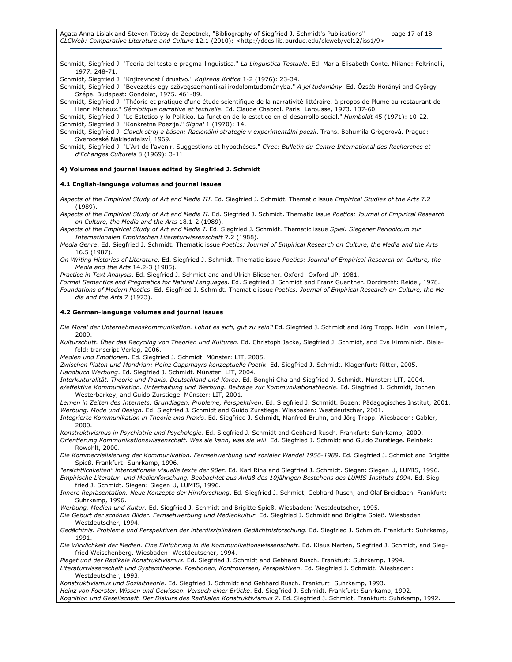Agata Anna Lisiak and Steven Tötösy de Zepetnek, "Bibliography of Siegfried J. Schmidt's Publications" page 17 of 18 CLCWeb: Comparative Literature and Culture 12.1 (2010): <http://docs.lib.purdue.edu/clcweb/vol12/iss1/9>

Schmidt, Siegfried J. "Teoria del testo e pragma-linguistica." La Linguistica Testuale. Ed. Maria-Elisabeth Conte. Milano: Feltrinelli, 1977. 248-71.

Schmidt, Siegfried J. "Knjizevnost í drustvo." Knjizena Kritica 1-2 (1976): 23-34.

Schmidt, Siegfried J. "Bevezetés egy szövegszemantikai irodolomtudományba." A jel tudomány. Ed. Özséb Horányi and György Szépe. Budapest: Gondolat, 1975. 461-89.

Schmidt, Siegfried J. "Théorie et pratique d'une étude scientifique de la narrativité littéraire, à propos de Plume au restaurant de Henri Michaux." Sémiotique narrative et textuelle. Ed. Claude Chabrol. Paris: Larousse, 1973. 137-60.

Schmidt, Siegfried J. "Lo Estetico y lo Politico. La function de lo estetico en el desarrollo social." Humboldt 45 (1971): 10-22. Schmidt, Siegfried J. "Konkretna Poezija." Signal 1 (1970): 14.

Schmidt, Siegfried J. Clovek stroj a básen: Racionální strategie v experimentální poezii. Trans. Bohumila Grögerová. Prague: Sveroceské Nakladatelsví, 1969.

Schmidt, Siegfried J. "L'Art de l'avenir. Suggestions et hypothèses." Cirec: Bulletin du Centre International des Recherches et d'Echanges Culturels 8 (1969): 3-11.

#### 4) Volumes and journal issues edited by Siegfried J. Schmidt

#### 4.1 English-language volumes and journal issues

Aspects of the Empirical Study of Art and Media III. Ed. Siegfried J. Schmidt. Thematic issue Empirical Studies of the Arts 7.2 (1989).

Aspects of the Empirical Study of Art and Media II. Ed. Siegfried J. Schmidt. Thematic issue Poetics: Journal of Empirical Research on Culture, the Media and the Arts 18.1-2 (1989).

Aspects of the Empirical Study of Art and Media I. Ed. Siegfried J. Schmidt. Thematic issue Spiel: Siegener Periodicum zur Internationalen Empirischen Literaturwissenschaft 7.2 (1988).

Media Genre. Ed. Siegfried J. Schmidt. Thematic issue Poetics: Journal of Empirical Research on Culture, the Media and the Arts 16.5 (1987).

On Writing Histories of Literature. Ed. Siegfried J. Schmidt. Thematic issue Poetics: Journal of Empirical Research on Culture, the Media and the Arts 14.2-3 (1985).

Practice in Text Analysis. Ed. Siegfried J. Schmidt and and Ulrich Bliesener. Oxford: Oxford UP, 1981.

Formal Semantics and Pragmatics for Natural Languages. Ed. Siegfried J. Schmidt and Franz Guenther. Dordrecht: Reidel, 1978. Foundations of Modern Poetics. Ed. Siegfried J. Schmidt. Thematic issue Poetics: Journal of Empirical Research on Culture, the Media and the Arts 7 (1973).

#### 4.2 German-language volumes and journal issues

Die Moral der Unternehmenskommunikation. Lohnt es sich, gut zu sein? Ed. Siegfried J. Schmidt and Jörg Tropp. Köln: von Halem, 2009.

Kulturschutt. Über das Recycling von Theorien und Kulturen. Ed. Christoph Jacke, Siegfried J. Schmidt, and Eva Kimminich. Bielefeld: transcript-Verlag, 2006.

Medien und Emotionen. Ed. Siegfried J. Schmidt. Münster: LIT, 2005.

Zwischen Platon und Mondrian: Heinz Gappmayrs konzeptuelle Poetik. Ed. Siegfried J. Schmidt. Klagenfurt: Ritter, 2005. Handbuch Werbung. Ed. Siegfried J. Schmidt. Münster: LIT, 2004.

Interkulturalität. Theorie und Praxis. Deutschland und Korea. Ed. Bonghi Cha and Siegfried J. Schmidt. Münster: LIT, 2004. a/effektive Kommunikation. Unterhaltung und Werbung. Beiträge zur Kommunikationstheorie. Ed. Siegfried J. Schmidt, Jochen Westerbarkey, and Guido Zurstiege. Münster: LIT, 2001.

Lernen in Zeiten des Internets. Grundlagen, Probleme, Perspektiven. Ed. Siegfried J. Schmidt. Bozen: Pädagogisches Institut, 2001. Werbung, Mode und Design. Ed. Siegfried J. Schmidt and Guido Zurstiege. Wiesbaden: Westdeutscher, 2001.

Integrierte Kommunikation in Theorie und Praxis. Ed. Siegfried J. Schmidt, Manfred Bruhn, and Jörg Tropp. Wiesbaden: Gabler, 2000.

Konstruktivismus in Psychiatrie und Psychologie. Ed. Siegfried J. Schmidt and Gebhard Rusch. Frankfurt: Suhrkamp, 2000.

Orientierung Kommunikationswissenschaft. Was sie kann, was sie will. Ed. Siegfried J. Schmidt and Guido Zurstiege. Reinbek: Rowohlt, 2000.

Die Kommerzialisierung der Kommunikation. Fernsehwerbung und sozialer Wandel 1956-1989. Ed. Siegfried J. Schmidt and Brigitte Spieß. Frankfurt: Suhrkamp, 1996.

"ersichtlichkeiten" internationale visuelle texte der 90er. Ed. Karl Riha and Siegfried J. Schmidt. Siegen: Siegen U, LUMIS, 1996. Empirische Literatur- und Medienforschung. Beobachtet aus Anlaß des 10jährigen Bestehens des LUMIS-Instituts 1994. Ed. Siegfried J. Schmidt. Siegen: Siegen U, LUMIS, 1996.

Innere Repräsentation. Neue Konzepte der Hirnforschung. Ed. Siegfried J. Schmidt, Gebhard Rusch, and Olaf Breidbach. Frankfurt: Suhrkamp, 1996.

Werbung, Medien und Kultur. Ed. Siegfried J. Schmidt and Brigitte Spieß. Wiesbaden: Westdeutscher, 1995.

Die Geburt der schönen Bilder. Fernsehwerbung und Medienkultur. Ed. Siegfried J. Schmidt and Brigitte Spieß. Wiesbaden: Westdeutscher, 1994.

Gedächtnis. Probleme und Perspektiven der interdisziplinären Gedächtnisforschung. Ed. Siegfried J. Schmidt. Frankfurt: Suhrkamp, 1991.

Die Wirklichkeit der Medien. Eine Einführung in die Kommunikationswissenschaft. Ed. Klaus Merten, Siegfried J. Schmidt, and Siegfried Weischenberg. Wiesbaden: Westdeutscher, 1994.

Piaget und der Radikale Konstruktivismus. Ed. Siegfried J. Schmidt and Gebhard Rusch. Frankfurt: Suhrkamp, 1994.

Literaturwissenschaft und Systemtheorie. Positionen, Kontroversen, Perspektiven. Ed. Siegfried J. Schmidt. Wiesbaden: Westdeutscher, 1993.

Konstruktivismus und Sozialtheorie. Ed. Siegfried J. Schmidt and Gebhard Rusch. Frankfurt: Suhrkamp, 1993. Heinz von Foerster. Wissen und Gewissen. Versuch einer Brücke. Ed. Siegfried J. Schmidt. Frankfurt: Suhrkamp, 1992. Kognition und Gesellschaft. Der Diskurs des Radikalen Konstruktivismus 2. Ed. Siegfried J. Schmidt. Frankfurt: Suhrkamp, 1992.